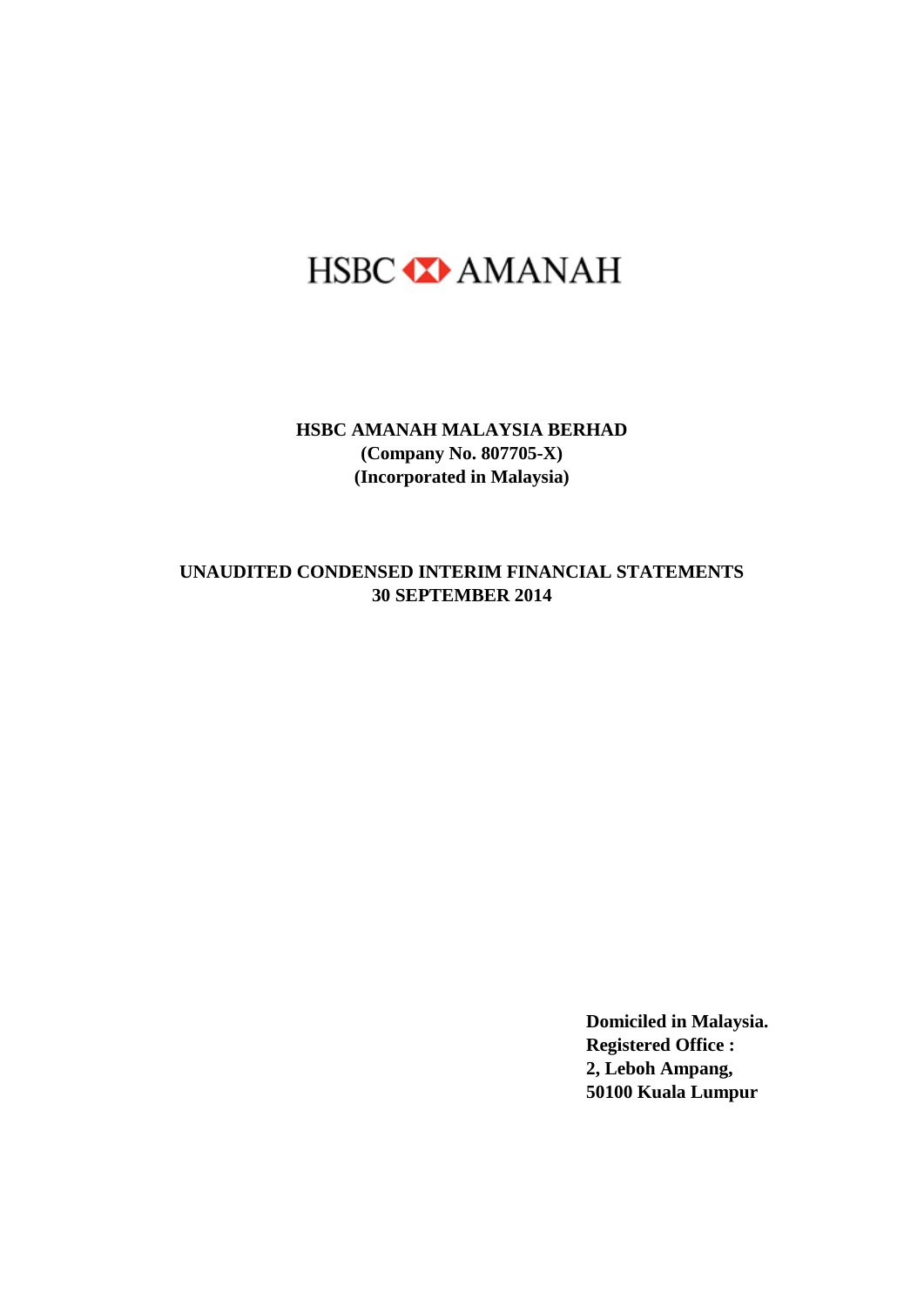# HSBC **X** AMANAH

**HSBC AMANAH MALAYSIA BERHAD (Company No. 807705-X) (Incorporated in Malaysia)**

#### **30 SEPTEMBER 2014 UNAUDITED CONDENSED INTERIM FINANCIAL STATEMENTS**

**Domiciled in Malaysia. Registered Office : 2, Leboh Ampang, 50100 Kuala Lumpur**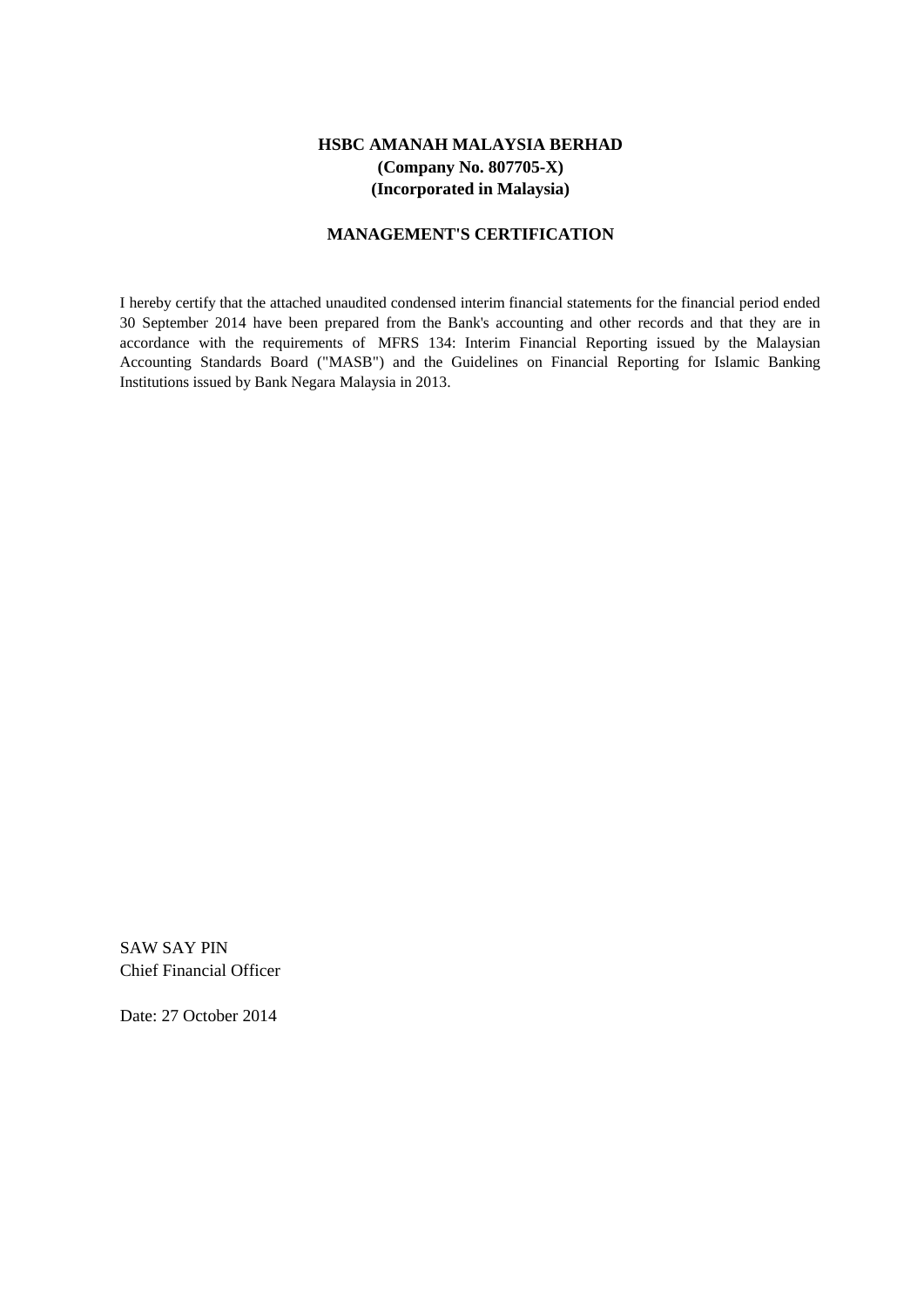#### **HSBC AMANAH MALAYSIA BERHAD (Company No. 807705-X) (Incorporated in Malaysia)**

#### **MANAGEMENT'S CERTIFICATION**

I hereby certify that the attached unaudited condensed interim financial statements for the financial period ended 30 September 2014 have been prepared from the Bank's accounting and other records and that they are in accordance with the requirements of MFRS 134: Interim Financial Reporting issued by the Malaysian Accounting Standards Board ("MASB") and the Guidelines on Financial Reporting for Islamic Banking Institutions issued by Bank Negara Malaysia in 2013.

SAW SAY PIN Chief Financial Officer

Date: 27 October 2014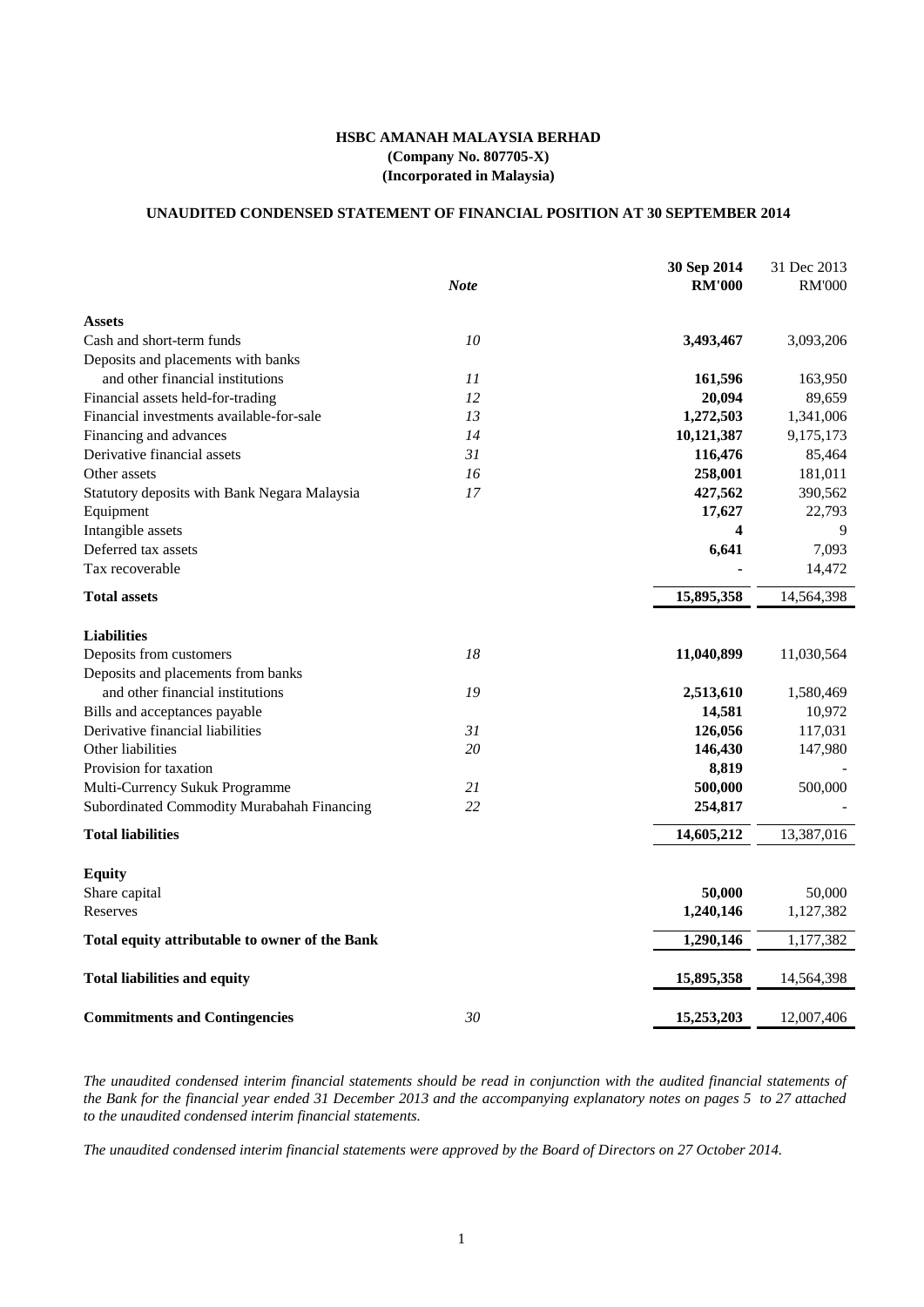### **HSBC AMANAH MALAYSIA BERHAD (Company No. 807705-X) (Incorporated in Malaysia)**

### **UNAUDITED CONDENSED STATEMENT OF FINANCIAL POSITION AT 30 SEPTEMBER 2014**

|                                                |             | 30 Sep 2014   | 31 Dec 2013   |
|------------------------------------------------|-------------|---------------|---------------|
|                                                | <b>Note</b> | <b>RM'000</b> | <b>RM'000</b> |
| <b>Assets</b>                                  |             |               |               |
| Cash and short-term funds                      | 10          | 3,493,467     | 3,093,206     |
| Deposits and placements with banks             |             |               |               |
| and other financial institutions               | 11          | 161,596       | 163,950       |
| Financial assets held-for-trading              | 12          | 20,094        | 89,659        |
| Financial investments available-for-sale       | 13          | 1,272,503     | 1,341,006     |
| Financing and advances                         | 14          | 10,121,387    | 9,175,173     |
| Derivative financial assets                    | 31          | 116,476       | 85,464        |
| Other assets                                   | 16          | 258,001       | 181,011       |
| Statutory deposits with Bank Negara Malaysia   | 17          | 427,562       | 390,562       |
| Equipment                                      |             | 17,627        | 22,793        |
| Intangible assets                              |             | 4             | 9             |
| Deferred tax assets                            |             | 6,641         | 7,093         |
| Tax recoverable                                |             |               | 14,472        |
| <b>Total assets</b>                            |             | 15,895,358    | 14,564,398    |
| <b>Liabilities</b>                             |             |               |               |
| Deposits from customers                        | 18          | 11,040,899    | 11,030,564    |
| Deposits and placements from banks             |             |               |               |
| and other financial institutions               | 19          | 2,513,610     | 1,580,469     |
| Bills and acceptances payable                  |             | 14,581        | 10,972        |
| Derivative financial liabilities               | 31          | 126,056       | 117,031       |
| Other liabilities                              | 20          | 146,430       | 147,980       |
| Provision for taxation                         |             | 8,819         |               |
| Multi-Currency Sukuk Programme                 | 21          | 500,000       | 500,000       |
| Subordinated Commodity Murabahah Financing     | 22          | 254,817       |               |
| <b>Total liabilities</b>                       |             | 14,605,212    | 13,387,016    |
| <b>Equity</b>                                  |             |               |               |
| Share capital                                  |             | 50,000        | 50,000        |
| Reserves                                       |             | 1,240,146     | 1,127,382     |
| Total equity attributable to owner of the Bank |             | 1,290,146     | 1,177,382     |
| <b>Total liabilities and equity</b>            |             | 15,895,358    | 14,564,398    |
| <b>Commitments and Contingencies</b>           | 30          | 15,253,203    | 12,007,406    |

The unaudited condensed interim financial statements should be read in conjunction with the audited financial statements of the Bank for the financial year ended 31 December 2013 and the accompanying explanatory notes on pages 5 to 27 attached *to the unaudited condensed interim financial statements.*

The unaudited condensed interim financial statements were approved by the Board of Directors on 27 October 2014.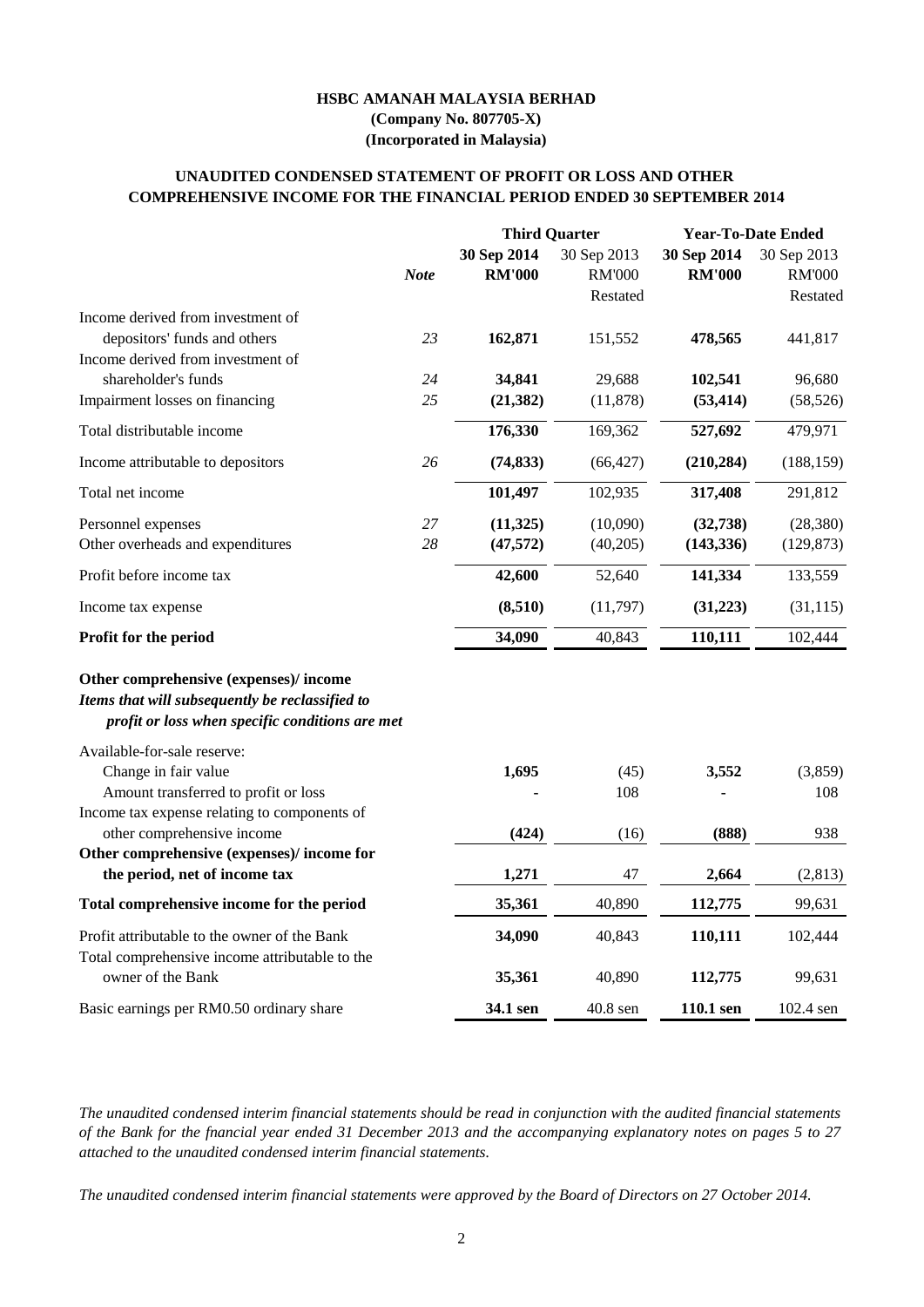The unaudited condensed interim financial statements should be read in conjunction with the audited financial statements of the Bank for the fnancial year ended 31 December 2013 and the accompanying explanatory notes on pages 5 to 27 *attached to the unaudited condensed interim financial statements.*

|                                                                                                                                             |             |                              | <b>Third Quarter</b>                     |                              | <b>Year-To-Date Ended</b>                |  |
|---------------------------------------------------------------------------------------------------------------------------------------------|-------------|------------------------------|------------------------------------------|------------------------------|------------------------------------------|--|
|                                                                                                                                             | <b>Note</b> | 30 Sep 2014<br><b>RM'000</b> | 30 Sep 2013<br><b>RM'000</b><br>Restated | 30 Sep 2014<br><b>RM'000</b> | 30 Sep 2013<br><b>RM'000</b><br>Restated |  |
| Income derived from investment of                                                                                                           |             |                              |                                          |                              |                                          |  |
| depositors' funds and others<br>Income derived from investment of                                                                           | 23          | 162,871                      | 151,552                                  | 478,565                      | 441,817                                  |  |
| shareholder's funds                                                                                                                         | 24          | 34,841                       | 29,688                                   | 102,541                      | 96,680                                   |  |
| Impairment losses on financing                                                                                                              | 25          | (21, 382)                    | (11,878)                                 | (53, 414)                    | (58, 526)                                |  |
| Total distributable income                                                                                                                  |             | 176,330                      | 169,362                                  | 527,692                      | 479,971                                  |  |
| Income attributable to depositors                                                                                                           | 26          | (74, 833)                    | (66, 427)                                | (210, 284)                   | (188, 159)                               |  |
| Total net income                                                                                                                            |             | 101,497                      | 102,935                                  | 317,408                      | 291,812                                  |  |
| Personnel expenses                                                                                                                          | 27          | (11,325)                     | (10,090)                                 | (32, 738)                    | (28, 380)                                |  |
| Other overheads and expenditures                                                                                                            | 28          | (47,572)                     | (40,205)                                 | (143, 336)                   | (129, 873)                               |  |
| Profit before income tax                                                                                                                    |             | 42,600                       | 52,640                                   | 141,334                      | 133,559                                  |  |
| Income tax expense                                                                                                                          |             | (8,510)                      | (11,797)                                 | (31,223)                     | (31, 115)                                |  |
| <b>Profit for the period</b>                                                                                                                |             | 34,090                       | 40,843                                   | 110,111                      | 102,444                                  |  |
| Other comprehensive (expenses)/income<br>Items that will subsequently be reclassified to<br>profit or loss when specific conditions are met |             |                              |                                          |                              |                                          |  |
| Available-for-sale reserve:<br>Change in fair value                                                                                         |             | 1,695                        | (45)                                     | 3,552                        | (3,859)                                  |  |
| Amount transferred to profit or loss                                                                                                        |             |                              | 108                                      |                              | 108                                      |  |
| Income tax expense relating to components of<br>other comprehensive income                                                                  |             | (424)                        | (16)                                     | (888)                        | 938                                      |  |
| Other comprehensive (expenses)/income for                                                                                                   |             |                              |                                          |                              |                                          |  |
| the period, net of income tax                                                                                                               |             | 1,271                        | 47                                       | 2,664                        | (2,813)                                  |  |
| Total comprehensive income for the period                                                                                                   |             | 35,361                       | 40,890                                   | 112,775                      | 99,631                                   |  |
| Profit attributable to the owner of the Bank                                                                                                |             | 34,090                       | 40,843                                   | 110,111                      | 102,444                                  |  |
| Total comprehensive income attributable to the<br>owner of the Bank                                                                         |             | 35,361                       | 40,890                                   | 112,775                      | 99,631                                   |  |

*The unaudited condensed interim financial statements were approved by the Board of Directors on 27 October 2014.*

## **COMPREHENSIVE INCOME FOR THE FINANCIAL PERIOD ENDED 30 SEPTEMBER 2014 UNAUDITED CONDENSED STATEMENT OF PROFIT OR LOSS AND OTHER**

## **HSBC AMANAH MALAYSIA BERHAD (Company No. 807705-X) (Incorporated in Malaysia)**

2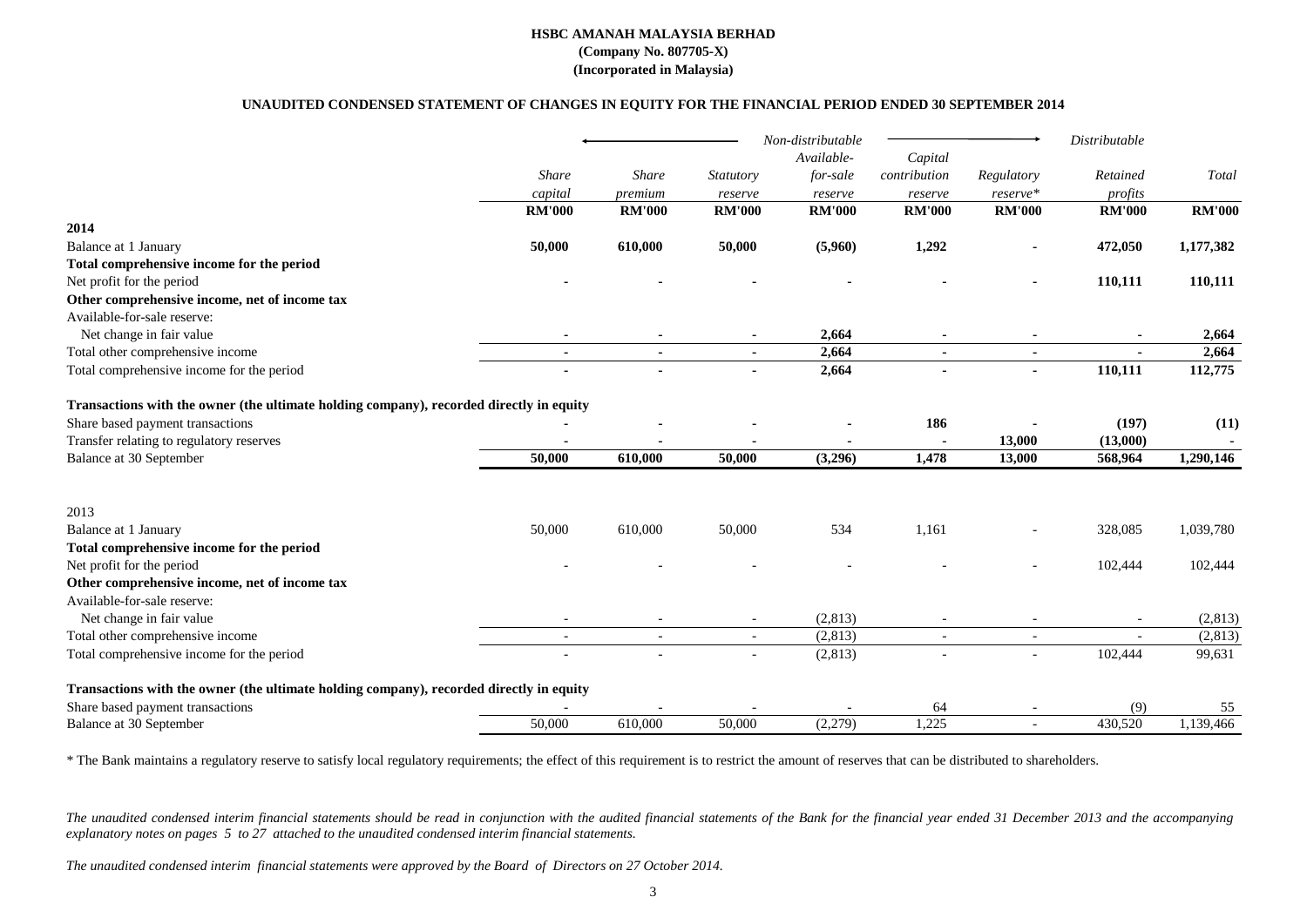|                                                                                         |                          |               |                          | Non-distributable |                          |                          | Distributable |               |
|-----------------------------------------------------------------------------------------|--------------------------|---------------|--------------------------|-------------------|--------------------------|--------------------------|---------------|---------------|
|                                                                                         |                          |               |                          | Available-        | Capital                  |                          |               |               |
|                                                                                         | Share                    | <b>Share</b>  | <i>Statutory</i>         | for-sale          | contribution             | Regulatory               | Retained      | Total         |
|                                                                                         | capital                  | premium       | reserve                  | reserve           | reserve                  | reserve*                 | profits       |               |
|                                                                                         | <b>RM'000</b>            | <b>RM'000</b> | <b>RM'000</b>            | <b>RM'000</b>     | <b>RM'000</b>            | <b>RM'000</b>            | <b>RM'000</b> | <b>RM'000</b> |
| 2014                                                                                    |                          |               |                          |                   |                          |                          |               |               |
| Balance at 1 January                                                                    | 50,000                   | 610,000       | 50,000                   | (5,960)           | 1,292                    | $\blacksquare$           | 472,050       | 1,177,382     |
| Total comprehensive income for the period                                               |                          |               |                          |                   |                          |                          |               |               |
| Net profit for the period                                                               |                          |               |                          |                   |                          |                          | 110,111       | 110,111       |
| Other comprehensive income, net of income tax                                           |                          |               |                          |                   |                          |                          |               |               |
| Available-for-sale reserve:                                                             |                          |               |                          |                   |                          |                          |               |               |
| Net change in fair value                                                                |                          |               |                          | 2,664             |                          |                          | $\sim$        | 2,664         |
| Total other comprehensive income                                                        | $\sim$                   | $\sim$        | $\sim$                   | 2,664             | $\sim$                   | $\blacksquare$           | $\sim$        | 2,664         |
| Total comprehensive income for the period                                               | $\blacksquare$           |               |                          | 2,664             |                          | $\blacksquare$           | 110,111       | 112,775       |
| Transactions with the owner (the ultimate holding company), recorded directly in equity |                          |               |                          |                   |                          |                          |               |               |
| Share based payment transactions                                                        |                          |               |                          |                   | 186                      |                          | (197)         | (11)          |
| Transfer relating to regulatory reserves                                                |                          |               |                          |                   |                          | 13,000                   | (13,000)      |               |
| <b>Balance at 30 September</b>                                                          | 50,000                   | 610,000       | 50,000                   | (3,296)           | 1,478                    | 13,000                   | 568,964       | 1,290,146     |
|                                                                                         |                          |               |                          |                   |                          |                          |               |               |
| 2013                                                                                    |                          |               |                          |                   |                          |                          |               |               |
| Balance at 1 January                                                                    | 50,000                   | 610,000       | 50,000                   | 534               | 1,161                    |                          | 328,085       | 1,039,780     |
| Total comprehensive income for the period                                               |                          |               |                          |                   |                          |                          |               |               |
| Net profit for the period                                                               |                          |               |                          |                   |                          |                          | 102,444       | 102,444       |
| Other comprehensive income, net of income tax                                           |                          |               |                          |                   |                          |                          |               |               |
| Available-for-sale reserve:                                                             |                          |               |                          |                   |                          |                          |               |               |
| Net change in fair value                                                                |                          |               |                          | (2,813)           |                          |                          |               | (2,813)       |
| Total other comprehensive income                                                        | $\overline{\phantom{a}}$ |               | $\overline{\phantom{a}}$ | (2,813)           | $\overline{\phantom{a}}$ | $\overline{\phantom{a}}$ |               | (2,813)       |
| Total comprehensive income for the period                                               |                          |               |                          | (2,813)           |                          |                          | 102,444       | 99,631        |
| Transactions with the owner (the ultimate holding company), recorded directly in equity |                          |               |                          |                   |                          |                          |               |               |
| Share based payment transactions                                                        |                          |               |                          |                   | 64                       |                          | (9)           | 55            |
| Balance at 30 September                                                                 | 50,000                   | 610,000       | 50,000                   | (2,279)           | 1,225                    | $\overline{\phantom{a}}$ | 430,520       | 1,139,466     |

The Bank maintains a regulatory reserve to satisfy local regulatory requirements; the effect of this requirement is to restrict the amount of reserves that can be distributed to shareholders.

The unaudited condensed interim financial statements should be read in conjunction with the audited financial statements of the Bank for the financial year ended 31 December 2013 and the accompanying *explanatory notes on pages 5 to 27 attached to the unaudited condensed interim financial statements.*

#### **HSBC AMANAH MALAYSIA BERHAD (Company No. 807705-X)**

## **(Incorporated in Malaysia)**

#### **UNAUDITED CONDENSED STATEMENT OF CHANGES IN EQUITY FOR THE FINANCIAL PERIOD ENDED 30 SEPTEMBER 2014**

*The unaudited condensed interim financial statements were approved by the Board of Directors on 27 October 2014.*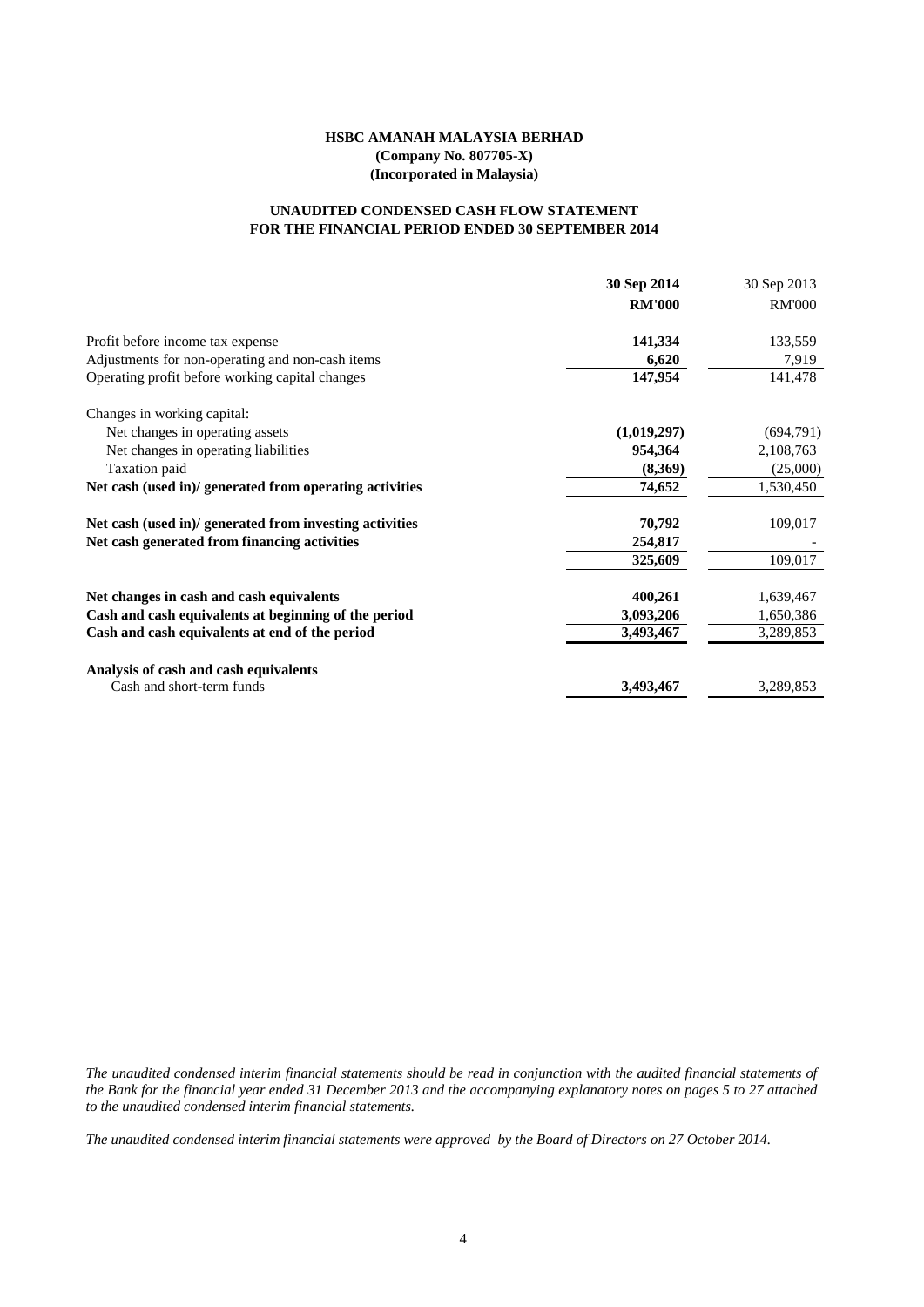#### **HSBC AMANAH MALAYSIA BERHAD (Company No. 807705-X) (Incorporated in Malaysia)**

#### **FOR THE FINANCIAL PERIOD ENDED 30 SEPTEMBER 2014 UNAUDITED CONDENSED CASH FLOW STATEMENT**

|                                                         | 30 Sep 2014   | 30 Sep 2013   |
|---------------------------------------------------------|---------------|---------------|
|                                                         | <b>RM'000</b> | <b>RM'000</b> |
| Profit before income tax expense                        | 141,334       | 133,559       |
| Adjustments for non-operating and non-cash items        | 6,620         | 7,919         |
| Operating profit before working capital changes         | 147,954       | 141,478       |
| Changes in working capital:                             |               |               |
| Net changes in operating assets                         | (1,019,297)   | (694,791)     |
| Net changes in operating liabilities                    | 954,364       | 2,108,763     |
| Taxation paid                                           | (8,369)       | (25,000)      |
| Net cash (used in)/ generated from operating activities | 74,652        | 1,530,450     |
| Net cash (used in)/ generated from investing activities | 70,792        | 109,017       |
| Net cash generated from financing activities            | 254,817       |               |
|                                                         | 325,609       | 109,017       |
| Net changes in cash and cash equivalents                | 400,261       | 1,639,467     |
| Cash and cash equivalents at beginning of the period    | 3,093,206     | 1,650,386     |
| Cash and cash equivalents at end of the period          | 3,493,467     | 3,289,853     |
| Analysis of cash and cash equivalents                   |               |               |
| Cash and short-term funds                               | 3,493,467     | 3,289,853     |

The unaudited condensed interim financial statements should be read in conjunction with the audited financial statements of the Bank for the financial year ended 31 December 2013 and the accompanying explanatory notes on pages 5 to 27 attached *to the unaudited condensed interim financial statements.*

*The unaudited condensed interim financial statements were approved by the Board of Directors on 27 October 2014.*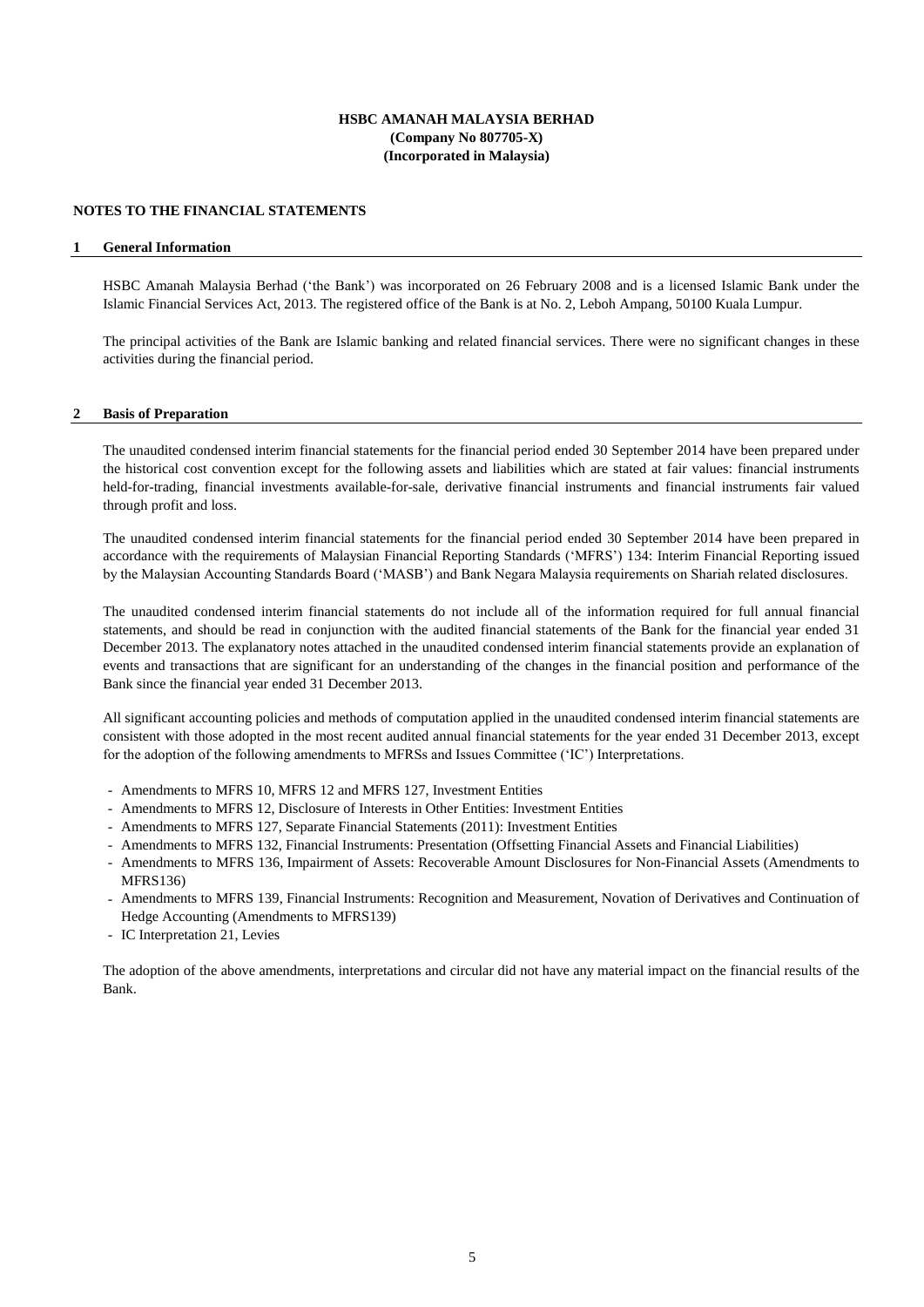#### **HSBC AMANAH MALAYSIA BERHAD (Company No 807705-X) (Incorporated in Malaysia)**

#### **NOTES TO THE FINANCIAL STATEMENTS**

#### **1 General Information**

HSBC Amanah Malaysia Berhad ('the Bank') was incorporated on 26 February 2008 and is a licensed Islamic Bank under the Islamic Financial Services Act, 2013. The registered office of the Bank is at No. 2, Leboh Ampang, 50100 Kuala Lumpur.

The principal activities of the Bank are Islamic banking and related financial services. There were no significant changes in these activities during the financial period.

#### **2 Basis of Preparation**

The unaudited condensed interim financial statements for the financial period ended 30 September 2014 have been prepared under the historical cost convention except for the following assets and liabilities which are stated at fair values: financial instruments held-for-trading, financial investments available-for-sale, derivative financial instruments and financial instruments fair valued through profit and loss.

The unaudited condensed interim financial statements for the financial period ended 30 September 2014 have been prepared in accordance with the requirements of Malaysian Financial Reporting Standards ('MFRS') 134: Interim Financial Reporting issued by the Malaysian Accounting Standards Board ('MASB') and Bank Negara Malaysia requirements on Shariah related disclosures.

The unaudited condensed interim financial statements do not include all of the information required for full annual financial statements, and should be read in conjunction with the audited financial statements of the Bank for the financial year ended 31 December 2013. The explanatory notes attached in the unaudited condensed interim financial statements provide an explanation of events and transactions that are significant for an understanding of the changes in the financial position and performance of the Bank since the financial year ended 31 December 2013.

All significant accounting policies and methods of computation applied in the unaudited condensed interim financial statements are consistent with those adopted in the most recent audited annual financial statements for the year ended 31 December 2013, except for the adoption of the following amendments to MFRSs and Issues Committee ('IC') Interpretations.

- Amendments to MFRS 10, MFRS 12 and MFRS 127, Investment Entities
- Amendments to MFRS 12, Disclosure of Interests in Other Entities: Investment Entities
- Amendments to MFRS 127, Separate Financial Statements (2011): Investment Entities
- Amendments to MFRS 132, Financial Instruments: Presentation (Offsetting Financial Assets and Financial Liabilities)
- Amendments to MFRS 136, Impairment of Assets: Recoverable Amount Disclosures for Non-Financial Assets (Amendments to MFRS136)
- Amendments to MFRS 139, Financial Instruments: Recognition and Measurement, Novation of Derivatives and Continuation of Hedge Accounting (Amendments to MFRS139)
- IC Interpretation 21, Levies

The adoption of the above amendments, interpretations and circular did not have any material impact on the financial results of the Bank.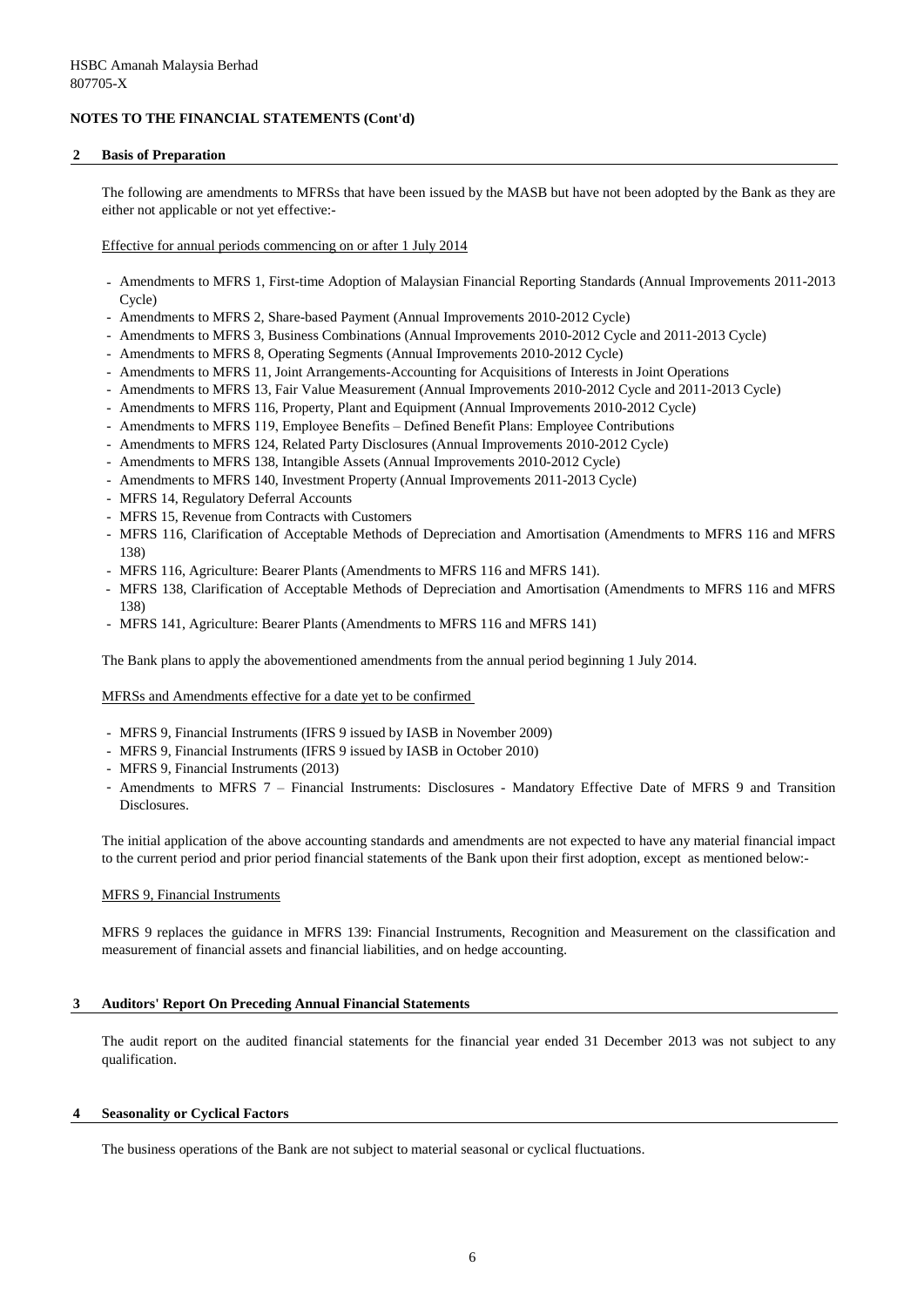#### **2 Basis of Preparation**

The following are amendments to MFRSs that have been issued by the MASB but have not been adopted by the Bank as they are either not applicable or not yet effective:-

Effective for annual periods commencing on or after 1 July 2014

- Amendments to MFRS 1, First-time Adoption of Malaysian Financial Reporting Standards (Annual Improvements 2011-2013 Cycle)
- Amendments to MFRS 2, Share-based Payment (Annual Improvements 2010-2012 Cycle)
- Amendments to MFRS 3, Business Combinations (Annual Improvements 2010-2012 Cycle and 2011-2013 Cycle)
- Amendments to MFRS 8, Operating Segments (Annual Improvements 2010-2012 Cycle)
- Amendments to MFRS 11, Joint Arrangements-Accounting for Acquisitions of Interests in Joint Operations
- Amendments to MFRS 13, Fair Value Measurement (Annual Improvements 2010-2012 Cycle and 2011-2013 Cycle)
- Amendments to MFRS 116, Property, Plant and Equipment (Annual Improvements 2010-2012 Cycle)
- Amendments to MFRS 119, Employee Benefits Defined Benefit Plans: Employee Contributions
- Amendments to MFRS 124, Related Party Disclosures (Annual Improvements 2010-2012 Cycle)
- Amendments to MFRS 138, Intangible Assets (Annual Improvements 2010-2012 Cycle)
- Amendments to MFRS 140, Investment Property (Annual Improvements 2011-2013 Cycle)
- MFRS 14, Regulatory Deferral Accounts
- MFRS 15, Revenue from Contracts with Customers
- MFRS 116, Clarification of Acceptable Methods of Depreciation and Amortisation (Amendments to MFRS 116 and MFRS 138)
- MFRS 116, Agriculture: Bearer Plants (Amendments to MFRS 116 and MFRS 141).
- MFRS 138, Clarification of Acceptable Methods of Depreciation and Amortisation (Amendments to MFRS 116 and MFRS 138)
- MFRS 141, Agriculture: Bearer Plants (Amendments to MFRS 116 and MFRS 141)

The Bank plans to apply the abovementioned amendments from the annual period beginning 1 July 2014.

MFRSs and Amendments effective for a date yet to be confirmed

- MFRS 9, Financial Instruments (IFRS 9 issued by IASB in November 2009)
- MFRS 9, Financial Instruments (IFRS 9 issued by IASB in October 2010)
- MFRS 9, Financial Instruments (2013)
- Amendments to MFRS 7 Financial Instruments: Disclosures Mandatory Effective Date of MFRS 9 and Transition Disclosures.

The initial application of the above accounting standards and amendments are not expected to have any material financial impact to the current period and prior period financial statements of the Bank upon their first adoption, except as mentioned below:-

#### MFRS 9, Financial Instruments

MFRS 9 replaces the guidance in MFRS 139: Financial Instruments, Recognition and Measurement on the classification and measurement of financial assets and financial liabilities, and on hedge accounting.

### **3 Auditors' Report On Preceding Annual Financial Statements**

The audit report on the audited financial statements for the financial year ended 31 December 2013 was not subject to any qualification.

#### **4 Seasonality or Cyclical Factors**

The business operations of the Bank are not subject to material seasonal or cyclical fluctuations.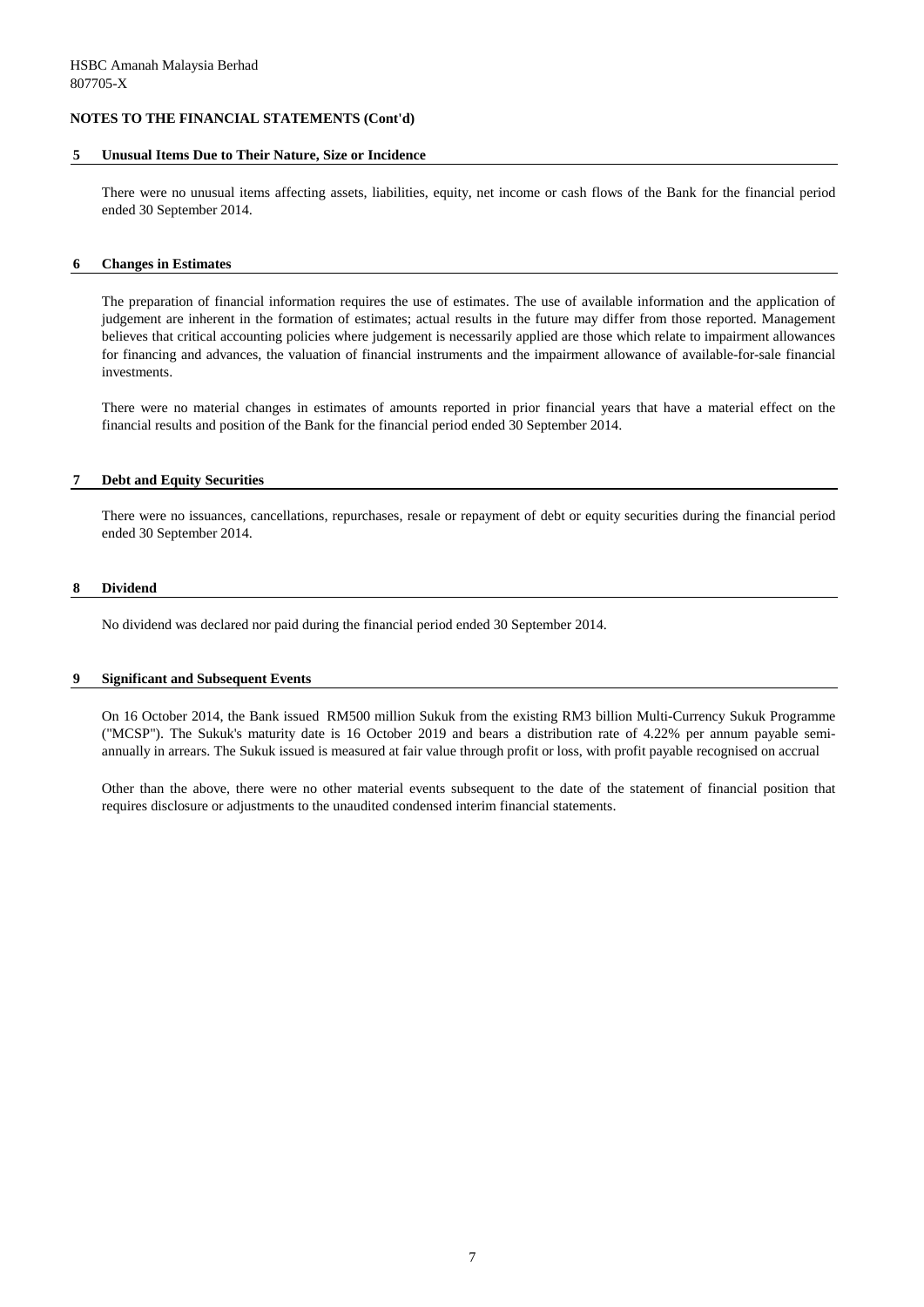#### **5 Unusual Items Due to Their Nature, Size or Incidence**

There were no unusual items affecting assets, liabilities, equity, net income or cash flows of the Bank for the financial period ended 30 September 2014.

#### **6 Changes in Estimates**

The preparation of financial information requires the use of estimates. The use of available information and the application of judgement are inherent in the formation of estimates; actual results in the future may differ from those reported. Management believes that critical accounting policies where judgement is necessarily applied are those which relate to impairment allowances for financing and advances, the valuation of financial instruments and the impairment allowance of available-for-sale financial investments.

There were no material changes in estimates of amounts reported in prior financial years that have a material effect on the financial results and position of the Bank for the financial period ended 30 September 2014.

#### **7 Debt and Equity Securities**

There were no issuances, cancellations, repurchases, resale or repayment of debt or equity securities during the financial period ended 30 September 2014.

#### **8 Dividend**

No dividend was declared nor paid during the financial period ended 30 September 2014.

#### **9 Significant and Subsequent Events**

On 16 October 2014, the Bank issued RM500 million Sukuk from the existing RM3 billion Multi-Currency Sukuk Programme ("MCSP"). The Sukuk's maturity date is 16 October 2019 and bears a distribution rate of 4.22% per annum payable semiannually in arrears. The Sukuk issued is measured at fair value through profit or loss, with profit payable recognised on accrual

Other than the above, there were no other material events subsequent to the date of the statement of financial position that requires disclosure or adjustments to the unaudited condensed interim financial statements.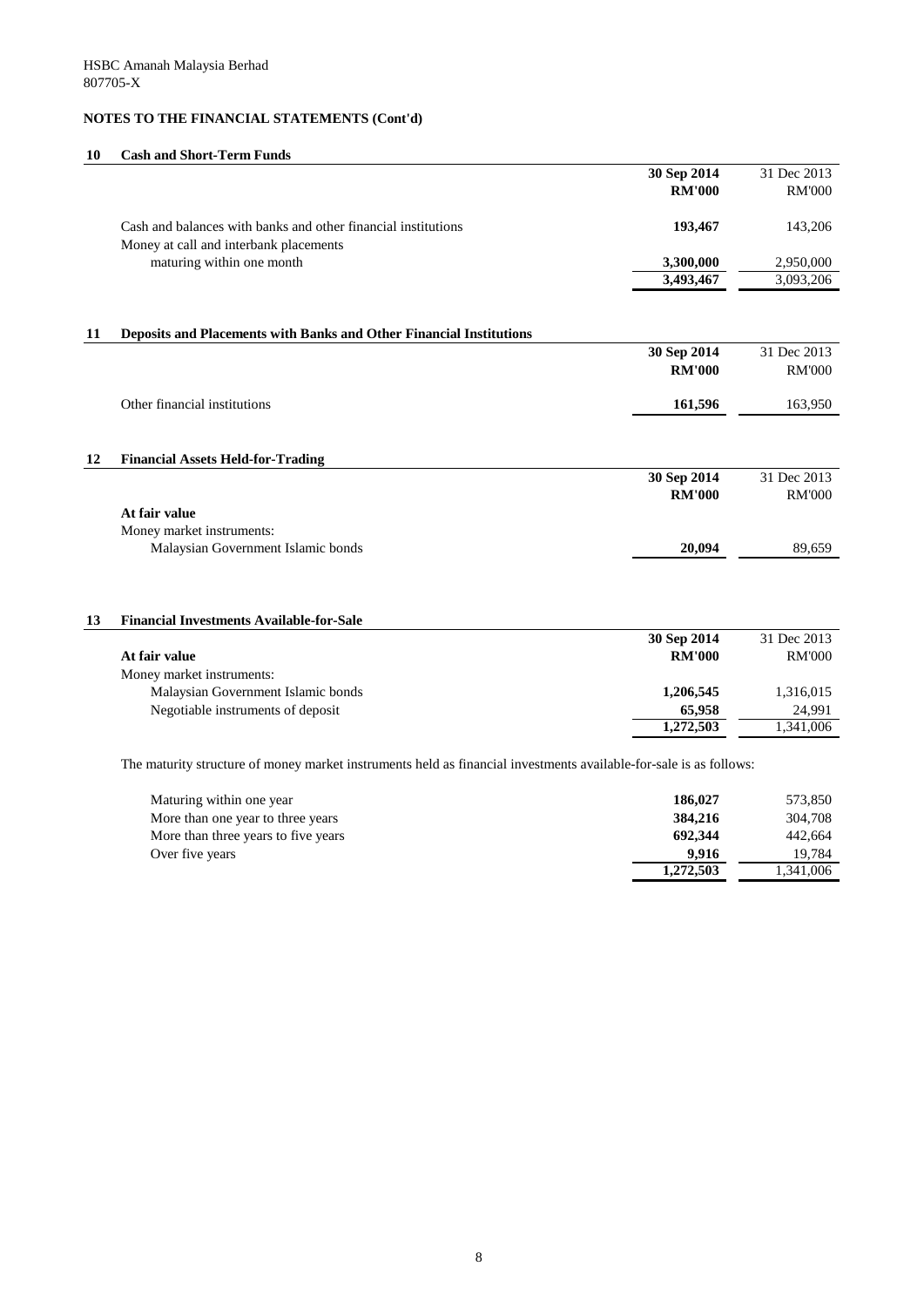### **10 Cash and Short-Term Funds**

|    |                                                                                                         | 30 Sep 2014   | 31 Dec 2013   |
|----|---------------------------------------------------------------------------------------------------------|---------------|---------------|
|    |                                                                                                         | <b>RM'000</b> | <b>RM'000</b> |
|    | Cash and balances with banks and other financial institutions<br>Money at call and interbank placements | 193,467       | 143,206       |
|    | maturing within one month                                                                               | 3,300,000     | 2,950,000     |
|    |                                                                                                         | 3,493,467     | 3,093,206     |
|    |                                                                                                         |               |               |
| 11 | Deposits and Placements with Banks and Other Financial Institutions                                     |               |               |
|    |                                                                                                         | 30 Sep 2014   | 31 Dec 2013   |
|    |                                                                                                         | <b>RM'000</b> | <b>RM'000</b> |
|    | Other financial institutions                                                                            | 161,596       | 163,950       |
|    |                                                                                                         |               |               |
| 12 | <b>Financial Assets Held-for-Trading</b>                                                                |               |               |
|    |                                                                                                         | 30 Sep 2014   | 31 Dec 2013   |
|    |                                                                                                         | <b>RM'000</b> | <b>RM'000</b> |
|    | At fair value                                                                                           |               |               |
|    | Money market instruments:                                                                               |               |               |
|    | Malaysian Government Islamic bonds                                                                      | 20,094        | 89,659        |
|    |                                                                                                         |               |               |
| 13 | <b>Financial Investments Available-for-Sale</b>                                                         |               |               |
|    |                                                                                                         | 30 Sep 2014   | 31 Dec 2013   |
|    | At fair value                                                                                           | <b>RM'000</b> | <b>RM'000</b> |
|    | Money market instruments:                                                                               |               |               |
|    | Malaysian Government Islamic bonds                                                                      | 1,206,545     | 1,316,015     |
|    | Negotiable instruments of deposit                                                                       | 65,958        | 24,991        |
|    |                                                                                                         | 1,272,503     | 1,341,006     |
|    |                                                                                                         |               |               |

The maturity structure of money market instruments held as financial investments available-for-sale is as follows:

| Maturing within one year            | 186,027   | 573,850   |
|-------------------------------------|-----------|-----------|
| More than one year to three years   | 384,216   | 304,708   |
| More than three years to five years | 692,344   | 442,664   |
| Over five years                     | 9.916     | 19.784    |
|                                     | 1,272,503 | 1,341,006 |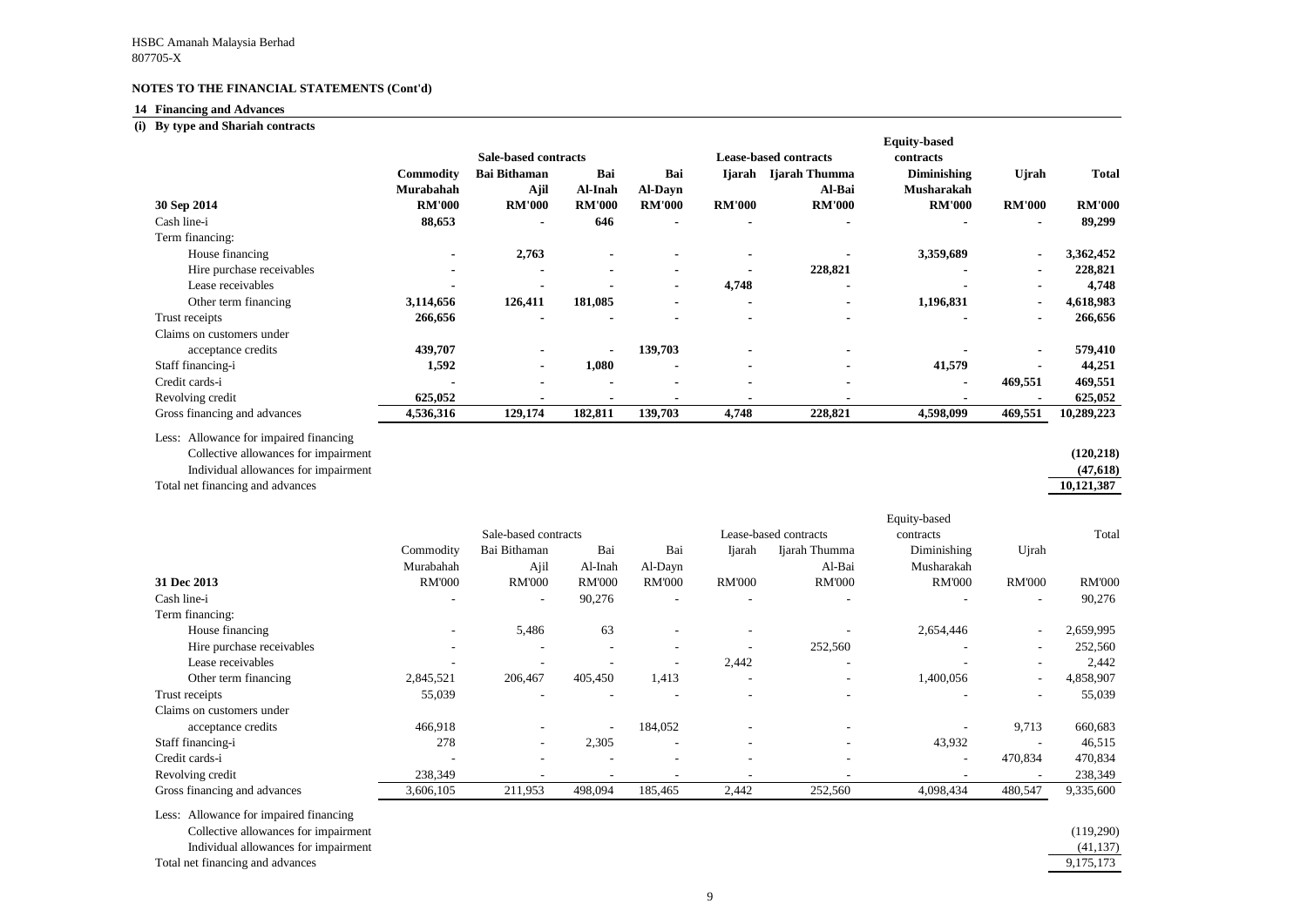## **14 Financing and Advances**

#### **(i) By type and Shariah contracts**

Less: Allowance for impaired financing Collective allowances for impairment **(120,218)**

Individual allowances for impairment **(47,618)**

Total net financing and advances **10,121,387**

| By type and Shariah contracts |                  |                             |                |                |               |                              |                     |                |               |
|-------------------------------|------------------|-----------------------------|----------------|----------------|---------------|------------------------------|---------------------|----------------|---------------|
|                               |                  |                             |                |                |               |                              | <b>Equity-based</b> |                |               |
|                               |                  | <b>Sale-based contracts</b> |                |                |               | <b>Lease-based contracts</b> | contracts           |                |               |
|                               | <b>Commodity</b> | <b>Bai Bithaman</b>         | Bai            | Bai            | Ijarah        | Ijarah Thumma                | <b>Diminishing</b>  | <b>U</b> jrah  | <b>Total</b>  |
|                               | Murabahah        | Ajil                        | Al-Inah        | <b>Al-Dayn</b> |               | Al-Bai                       | <b>Musharakah</b>   |                |               |
| 30 Sep 2014                   | <b>RM'000</b>    | <b>RM'000</b>               | <b>RM'000</b>  | <b>RM'000</b>  | <b>RM'000</b> | <b>RM'000</b>                | <b>RM'000</b>       | <b>RM'000</b>  | <b>RM'000</b> |
| Cash line-i                   | 88,653           | $\blacksquare$              | 646            | $\blacksquare$ |               |                              |                     | $\blacksquare$ | 89,299        |
| Term financing:               |                  |                             |                |                |               |                              |                     |                |               |
| House financing               |                  | 2,763                       | $\blacksquare$ |                |               |                              | 3,359,689           | $\blacksquare$ | 3,362,452     |
| Hire purchase receivables     |                  |                             | $\blacksquare$ | $\blacksquare$ |               | 228,821                      |                     | $\blacksquare$ | 228,821       |
| Lease receivables             |                  |                             |                | $\blacksquare$ | 4,748         |                              |                     | $\blacksquare$ | 4,748         |
| Other term financing          | 3,114,656        | 126,411                     | 181,085        |                |               |                              | 1,196,831           | $\blacksquare$ | 4,618,983     |
| Trust receipts                | 266,656          |                             |                |                |               |                              |                     | $\blacksquare$ | 266,656       |
| Claims on customers under     |                  |                             |                |                |               |                              |                     |                |               |
| acceptance credits            | 439,707          |                             | $\blacksquare$ | 139,703        |               |                              |                     | $\blacksquare$ | 579,410       |
| Staff financing-i             | 1,592            |                             | 1,080          | $\blacksquare$ |               |                              | 41,579              |                | 44,251        |
| Credit cards-i                |                  |                             | $\blacksquare$ | $\blacksquare$ |               |                              | $\blacksquare$      | 469,551        | 469,551       |
| Revolving credit              | 625,052          |                             |                |                |               |                              |                     |                | 625,052       |
| Gross financing and advances  | 4,536,316        | 129,174                     | 182,811        | 139,703        | 4,748         | 228,821                      | 4,598,099           | 469,551        | 10,289,223    |

|                              |                          |                          |                          |                          |                          |                          | Equity-based              |                          |               |  |
|------------------------------|--------------------------|--------------------------|--------------------------|--------------------------|--------------------------|--------------------------|---------------------------|--------------------------|---------------|--|
|                              |                          | Sale-based contracts     |                          |                          |                          | Lease-based contracts    | contracts                 |                          | Total         |  |
|                              | Commodity<br>Murabahah   | Bai Bithaman<br>Ajil     | Bai<br>Al-Inah           | Bai<br>Al-Dayn           | Ijarah                   | Ijarah Thumma<br>Al-Bai  | Diminishing<br>Musharakah | Ujrah                    |               |  |
| 31 Dec 2013                  | <b>RM'000</b>            | <b>RM'000</b>            | <b>RM'000</b>            | <b>RM'000</b>            | <b>RM'000</b>            | <b>RM'000</b>            | <b>RM'000</b>             | <b>RM'000</b>            | <b>RM'000</b> |  |
| Cash line-i                  |                          | $\overline{\phantom{a}}$ | 90,276                   |                          |                          |                          |                           | $\overline{\phantom{a}}$ | 90,276        |  |
| Term financing:              |                          |                          |                          |                          |                          |                          |                           |                          |               |  |
| House financing              |                          | 5,486                    | 63                       | $\overline{\phantom{a}}$ |                          |                          | 2,654,446                 | $\overline{\phantom{a}}$ | 2,659,995     |  |
| Hire purchase receivables    |                          |                          | $\overline{\phantom{a}}$ | $\overline{\phantom{a}}$ |                          | 252,560                  |                           | $\overline{\phantom{a}}$ | 252,560       |  |
| Lease receivables            |                          |                          |                          |                          | 2,442                    | $\overline{\phantom{a}}$ |                           | $\overline{\phantom{a}}$ | 2,442         |  |
| Other term financing         | 2,845,521                | 206,467                  | 405,450                  | 1,413                    |                          |                          | 1,400,056                 | $\overline{\phantom{a}}$ | 4,858,907     |  |
| Trust receipts               | 55,039                   |                          |                          |                          |                          |                          |                           | $\overline{\phantom{a}}$ | 55,039        |  |
| Claims on customers under    |                          |                          |                          |                          |                          |                          |                           |                          |               |  |
| acceptance credits           | 466,918                  |                          | $\overline{\phantom{a}}$ | 184,052                  |                          | $\overline{\phantom{a}}$ |                           | 9,713                    | 660,683       |  |
| Staff financing-i            | 278                      | $\overline{\phantom{0}}$ | 2,305                    | $\overline{\phantom{a}}$ | $\overline{\phantom{a}}$ | $\overline{\phantom{a}}$ | 43,932                    | $\overline{\phantom{a}}$ | 46,515        |  |
| Credit cards-i               | $\overline{\phantom{a}}$ |                          |                          | $\overline{\phantom{a}}$ |                          | $\overline{\phantom{a}}$ | $\overline{\phantom{a}}$  | 470,834                  | 470,834       |  |
| Revolving credit             | 238,349                  |                          |                          | $\overline{\phantom{a}}$ |                          |                          |                           | $\overline{\phantom{a}}$ | 238,349       |  |
| Gross financing and advances | 3,606,105                | 211,953                  | 498,094                  | 185,465                  | 2,442                    | 252,560                  | 4,098,434                 | 480,547                  | 9,335,600     |  |

Less: Allowance for impaired financing

Collective allowances for impairment (119,290)

Individual allowances for impairment  $\overline{a}$ 

Total net financing and advances

| (120, 218) |
|------------|
| (47, 618)  |
| 10,121,387 |

| (119,290) |
|-----------|
| (41, 137) |
| 9,175,173 |
|           |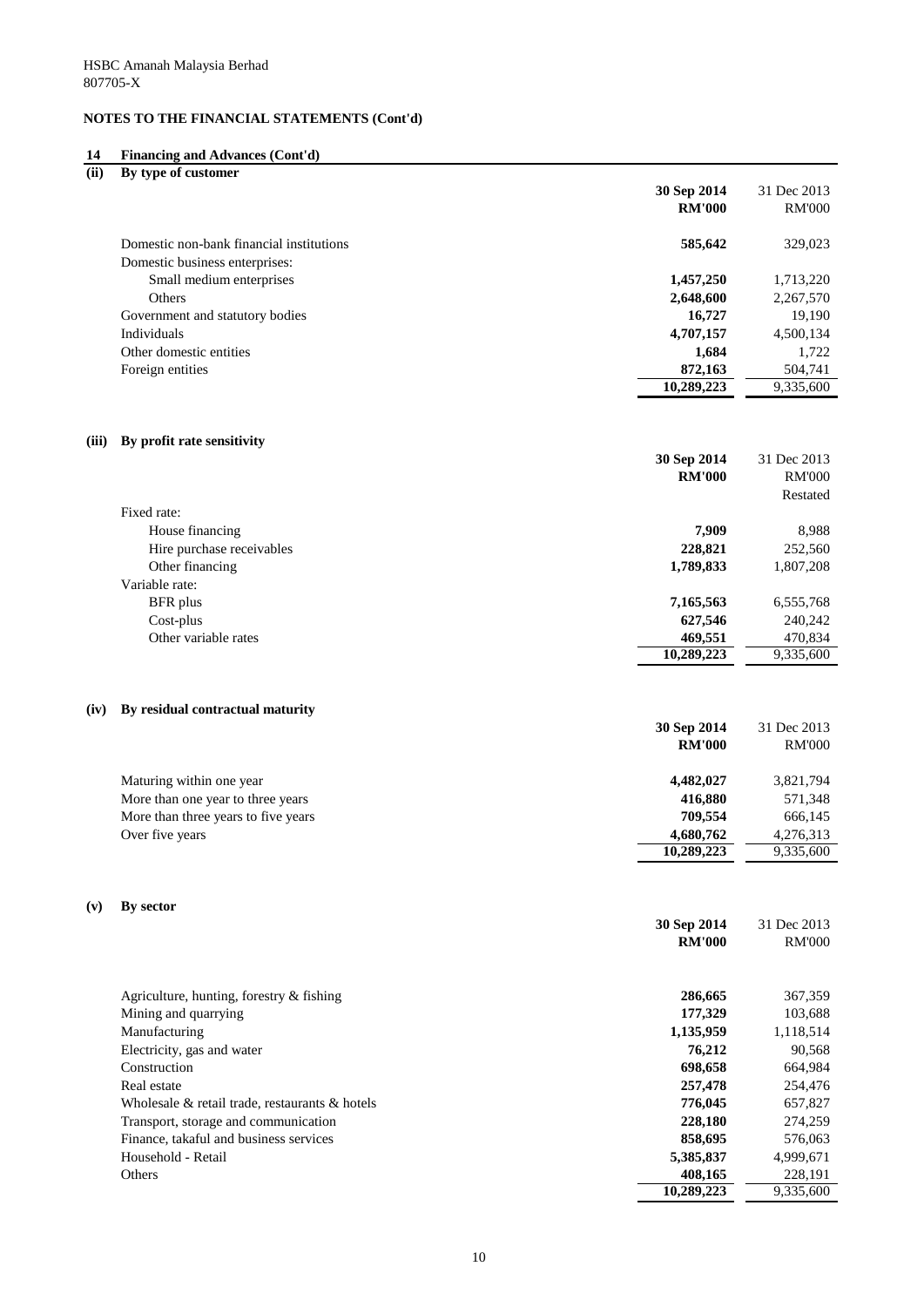#### **14 Financing and Advances (Cont'd)**

| (ii)  | By type of customer                      |               |               |
|-------|------------------------------------------|---------------|---------------|
|       |                                          | 30 Sep 2014   | 31 Dec 2013   |
|       |                                          | <b>RM'000</b> | <b>RM'000</b> |
|       | Domestic non-bank financial institutions | 585,642       | 329,023       |
|       | Domestic business enterprises:           |               |               |
|       | Small medium enterprises                 | 1,457,250     | 1,713,220     |
|       | Others                                   | 2,648,600     | 2,267,570     |
|       | Government and statutory bodies          | 16,727        | 19,190        |
|       | Individuals                              | 4,707,157     | 4,500,134     |
|       | Other domestic entities                  | 1,684         | 1,722         |
|       | Foreign entities                         | 872,163       | 504,741       |
|       |                                          | 10,289,223    | 9,335,600     |
|       |                                          |               |               |
| (iii) | By profit rate sensitivity               |               |               |
|       |                                          | 30 Sep 2014   | 31 Dec 2013   |
|       |                                          | <b>RM'000</b> | <b>RM'000</b> |
|       |                                          |               | Restated      |
|       | Fixed rate:                              |               |               |
|       | House financing                          | 7,909         | 8,988         |
|       | Hire purchase receivables                | 228,821       | 252,560       |
|       | Other financing                          | 1,789,833     | 1,807,208     |

## Variable rate: BFR plus **7,165,563** 6,555,768 Cost-plus **627,546** 240,242 Other variable rates 469,551 470,834

#### **(iv) By residual contractual maturity**

|                                     | 30 Sep 2014   | 31 Dec 2013   |
|-------------------------------------|---------------|---------------|
|                                     | <b>RM'000</b> | <b>RM'000</b> |
| Maturing within one year            | 4,482,027     | 3,821,794     |
| More than one year to three years   | 416,880       | 571,348       |
| More than three years to five years | 709,554       | 666,145       |
| Over five years                     | 4,680,762     | 4,276,313     |
|                                     | 10,289,223    | 9,335,600     |

**10,289,223** 9,335,600

### **(v) By sector**

|                                                      | 30 Sep 2014   | 31 Dec 2013   |
|------------------------------------------------------|---------------|---------------|
|                                                      | <b>RM'000</b> | <b>RM'000</b> |
|                                                      |               |               |
| Agriculture, hunting, forestry $\&$ fishing          | 286,665       | 367,359       |
| Mining and quarrying                                 | 177,329       | 103,688       |
| Manufacturing                                        | 1,135,959     | 1,118,514     |
| Electricity, gas and water                           | 76,212        | 90,568        |
| Construction                                         | 698,658       | 664,984       |
| Real estate                                          | 257,478       | 254,476       |
| Wholesale $\&$ retail trade, restaurants $\&$ hotels | 776,045       | 657,827       |
| Transport, storage and communication                 | 228,180       | 274,259       |
| Finance, takaful and business services               | 858,695       | 576,063       |
| Household - Retail                                   | 5,385,837     | 4,999,671     |
| Others                                               | 408,165       | 228,191       |
|                                                      | 10,289,223    | 9,335,600     |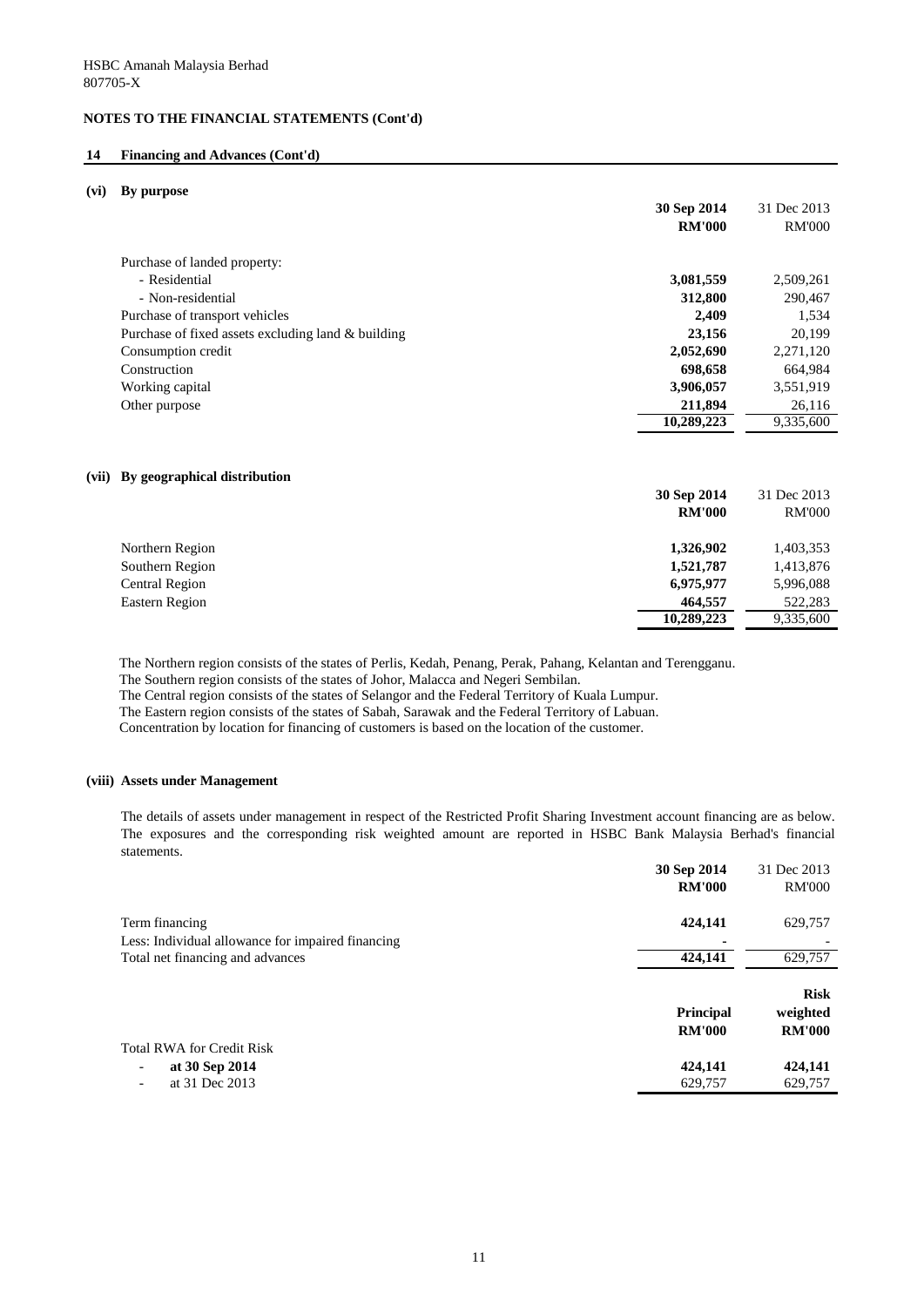#### **14 Financing and Advances (Cont'd)**

#### **(vi) By purpose**

|                                                    | 30 Sep 2014<br><b>RM'000</b> | 31 Dec 2013<br><b>RM'000</b> |
|----------------------------------------------------|------------------------------|------------------------------|
| Purchase of landed property:                       |                              |                              |
| - Residential                                      | 3,081,559                    | 2,509,261                    |
| - Non-residential                                  | 312,800                      | 290,467                      |
| Purchase of transport vehicles                     | 2,409                        | 1,534                        |
| Purchase of fixed assets excluding land & building | 23,156                       | 20,199                       |
| Consumption credit                                 | 2,052,690                    | 2,271,120                    |
| Construction                                       | 698,658                      | 664,984                      |
| Working capital                                    | 3,906,057                    | 3,551,919                    |
| Other purpose                                      | 211,894                      | 26,116                       |
|                                                    | 10,289,223                   | 9,335,600                    |
|                                                    |                              |                              |

#### **(vii) By geographical distribution**

|                       | 30 Sep 2014   | 31 Dec 2013   |
|-----------------------|---------------|---------------|
|                       | <b>RM'000</b> | <b>RM'000</b> |
| Northern Region       | 1,326,902     | 1,403,353     |
| Southern Region       | 1,521,787     | 1,413,876     |
| <b>Central Region</b> | 6,975,977     | 5,996,088     |
| Eastern Region        | 464,557       | 522,283       |
|                       | 10,289,223    | 9,335,600     |

The Northern region consists of the states of Perlis, Kedah, Penang, Perak, Pahang, Kelantan and Terengganu.

The Southern region consists of the states of Johor, Malacca and Negeri Sembilan.

The Central region consists of the states of Selangor and the Federal Territory of Kuala Lumpur.

The Eastern region consists of the states of Sabah, Sarawak and the Federal Territory of Labuan.

Concentration by location for financing of customers is based on the location of the customer.

#### **(viii) Assets under Management**

The details of assets under management in respect of the Restricted Profit Sharing Investment account financing are as below. The exposures and the corresponding risk weighted amount are reported in HSBC Bank Malaysia Berhad's financial statements.

|                                                   | 30 Sep 2014<br><b>RM'000</b>      | 31 Dec 2013<br><b>RM'000</b>             |
|---------------------------------------------------|-----------------------------------|------------------------------------------|
| Term financing                                    | 424,141                           | 629,757                                  |
| Less: Individual allowance for impaired financing |                                   |                                          |
| Total net financing and advances                  | 424,141                           | 629,757                                  |
|                                                   | <b>Principal</b><br><b>RM'000</b> | <b>Risk</b><br>weighted<br><b>RM'000</b> |
| <b>Total RWA for Credit Risk</b>                  |                                   |                                          |
| at 30 Sep 2014<br>-                               | 424,141                           | 424,141                                  |
| at 31 Dec 2013<br>Ξ.                              | 629,757                           | 629,757                                  |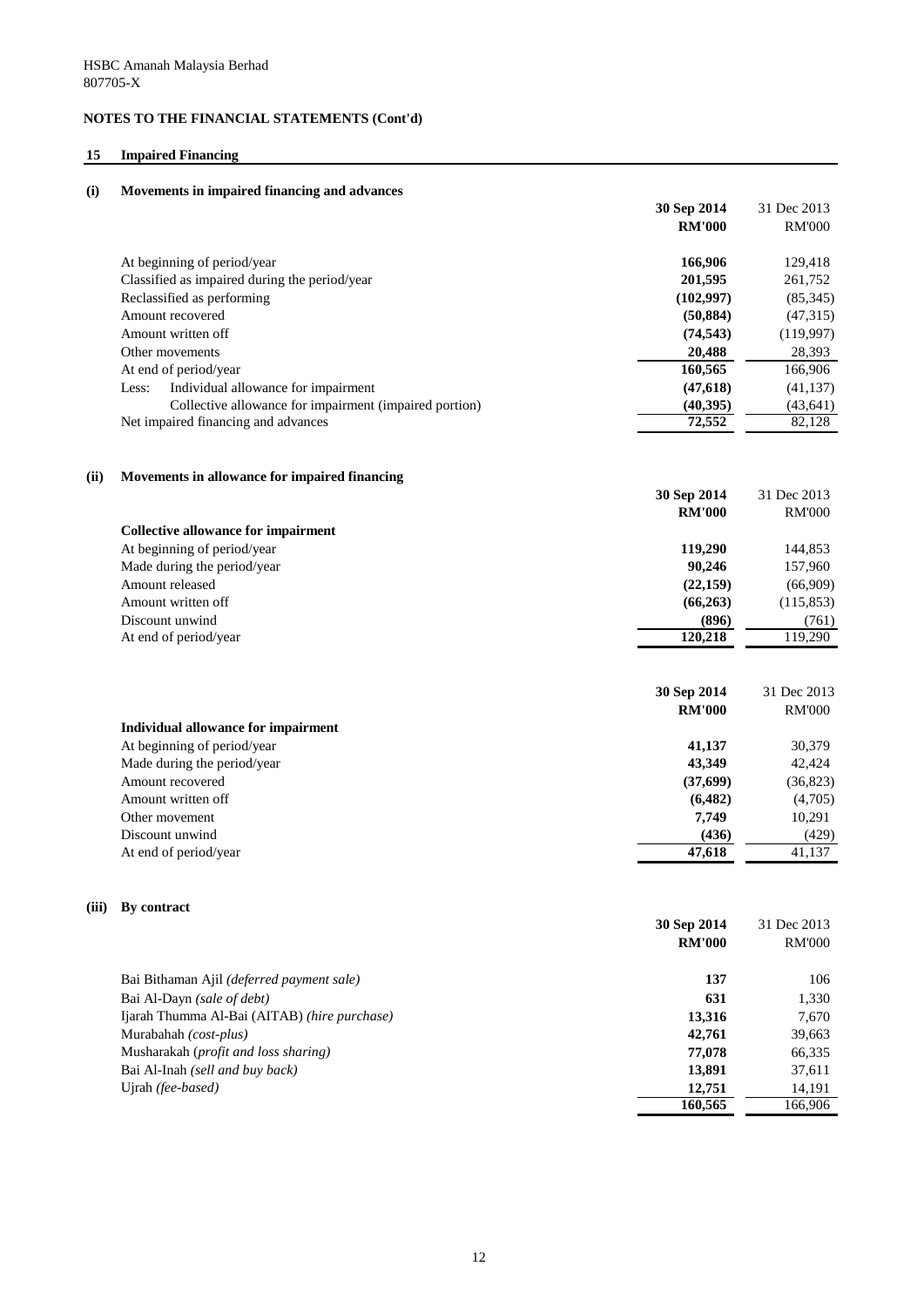## **15 Impaired Financing**

| (i)   | Movements in impaired financing and advances           |               |               |
|-------|--------------------------------------------------------|---------------|---------------|
|       |                                                        | 30 Sep 2014   | 31 Dec 2013   |
|       |                                                        | <b>RM'000</b> | <b>RM'000</b> |
|       | At beginning of period/year                            | 166,906       | 129,418       |
|       | Classified as impaired during the period/year          | 201,595       | 261,752       |
|       | Reclassified as performing                             | (102, 997)    | (85,345)      |
|       | Amount recovered                                       | (50, 884)     | (47,315)      |
|       | Amount written off                                     | (74, 543)     | (119,997)     |
|       | Other movements                                        | 20,488        | 28,393        |
|       | At end of period/year                                  | 160,565       | 166,906       |
|       | Individual allowance for impairment<br>Less:           | (47, 618)     | (41, 137)     |
|       | Collective allowance for impairment (impaired portion) | (40, 395)     | (43, 641)     |
|       | Net impaired financing and advances                    | 72,552        | 82,128        |
| (ii)  | Movements in allowance for impaired financing          | 30 Sep 2014   | 31 Dec 2013   |
|       |                                                        | <b>RM'000</b> | <b>RM'000</b> |
|       | <b>Collective allowance for impairment</b>             |               |               |
|       | At beginning of period/year                            | 119,290       | 144,853       |
|       | Made during the period/year                            | 90,246        | 157,960       |
|       | Amount released                                        | (22, 159)     | (66,909)      |
|       | Amount written off                                     | (66, 263)     | (115, 853)    |
|       | Discount unwind                                        | (896)         | (761)         |
|       | At end of period/year                                  | 120,218       | 119,290       |
|       |                                                        | 30 Sep 2014   | 31 Dec 2013   |
|       |                                                        | <b>RM'000</b> | <b>RM'000</b> |
|       | <b>Individual allowance for impairment</b>             |               |               |
|       | At beginning of period/year                            | 41,137        | 30,379        |
|       | Made during the period/year                            | 43,349        | 42,424        |
|       | Amount recovered                                       | (37,699)      | (36, 823)     |
|       | Amount written off                                     | (6, 482)      | (4,705)       |
|       | Other movement                                         | 7,749         | 10,291        |
|       | Discount unwind                                        | (436)         | (429)         |
|       | At end of period/year                                  | 47,618        | 41,137        |
| (iii) | By contract                                            |               |               |
|       |                                                        | 30 Sep 2014   | 31 Dec 2013   |
|       |                                                        | <b>RM'000</b> | <b>RM'000</b> |
|       | Bai Bithaman Ajil (deferred payment sale)              | 137           | 106           |
|       | Bai Al-Dayn (sale of debt)                             | 631           | 1,330         |
|       | Ijarah Thumma Al-Bai (AITAB) (hire purchase)           | 13,316        | 7,670         |
|       | Murabahah (cost-plus)                                  | 42,761        | 39,663        |
|       | Musharakah (profit and loss sharing)                   | 77,078        | 66,335        |
|       | Bai Al-Inah (sell and buy back)                        | 13,891        | 37,611        |
|       | Ujrah (fee-based)                                      | 12,751        | 14,191        |
|       |                                                        | 160,565       | 166,906       |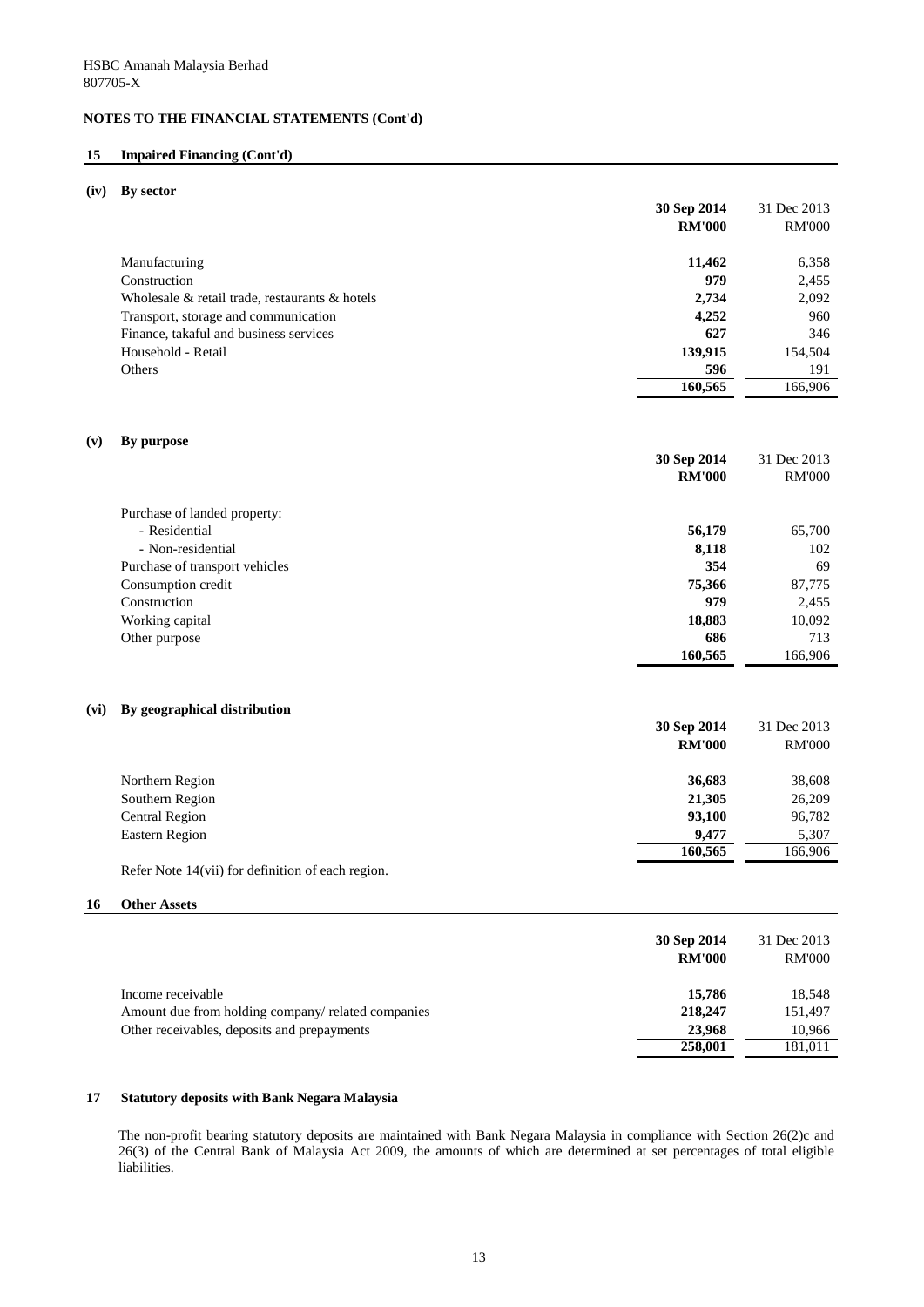#### **15 Impaired Financing (Cont'd)**

#### **(iv) By sector**

|                                                      | 30 Sep 2014   | 31 Dec 2013   |
|------------------------------------------------------|---------------|---------------|
|                                                      | <b>RM'000</b> | <b>RM'000</b> |
| Manufacturing                                        | 11,462        | 6,358         |
| Construction                                         | 979           | 2,455         |
| Wholesale $\&$ retail trade, restaurants $\&$ hotels | 2,734         | 2,092         |
| Transport, storage and communication                 | 4,252         | 960           |
| Finance, takaful and business services               | 627           | 346           |
| Household - Retail                                   | 139,915       | 154,504       |
| Others                                               | 596           | 191           |
|                                                      | 160,565       | 166,906       |

#### **(v) By purpose**

|                                | 30 Sep 2014   | 31 Dec 2013   |
|--------------------------------|---------------|---------------|
|                                | <b>RM'000</b> | <b>RM'000</b> |
|                                |               |               |
| Purchase of landed property:   |               |               |
| - Residential                  | 56,179        | 65,700        |
| - Non-residential              | 8,118         | 102           |
| Purchase of transport vehicles | 354           | 69            |
| Consumption credit             | 75,366        | 87,775        |
| Construction                   | 979           | 2,455         |
| Working capital                | 18,883        | 10,092        |
| Other purpose                  | 686           | 713           |
|                                | 160,565       | 166,906       |

#### **(vi) By geographical distribution**

|                       | 30 Sep 2014   | 31 Dec 2013   |
|-----------------------|---------------|---------------|
|                       | <b>RM'000</b> | <b>RM'000</b> |
| Northern Region       | 36,683        | 38,608        |
| Southern Region       | 21,305        | 26,209        |
| <b>Central Region</b> | 93,100        | 96,782        |
| Eastern Region        | 9,477         | 5,307         |
|                       | 160,565       | 166,906       |

Refer Note 14(vii) for definition of each region.

#### **16 Other Assets**

| 30 Sep 2014<br><b>RM'000</b>                                  | 31 Dec 2013<br><b>RM'000</b> |
|---------------------------------------------------------------|------------------------------|
| 15,786<br>Income receivable                                   | 18,548                       |
| 218,247<br>Amount due from holding company/ related companies | 151,497                      |
| Other receivables, deposits and prepayments<br>23,968         | 10,966                       |
| 258,001                                                       | 181,011                      |

#### **17 Statutory deposits with Bank Negara Malaysia**

The non-profit bearing statutory deposits are maintained with Bank Negara Malaysia in compliance with Section 26(2)c and 26(3) of the Central Bank of Malaysia Act 2009, the amounts of which are determined at set percentages of total eligible liabilities.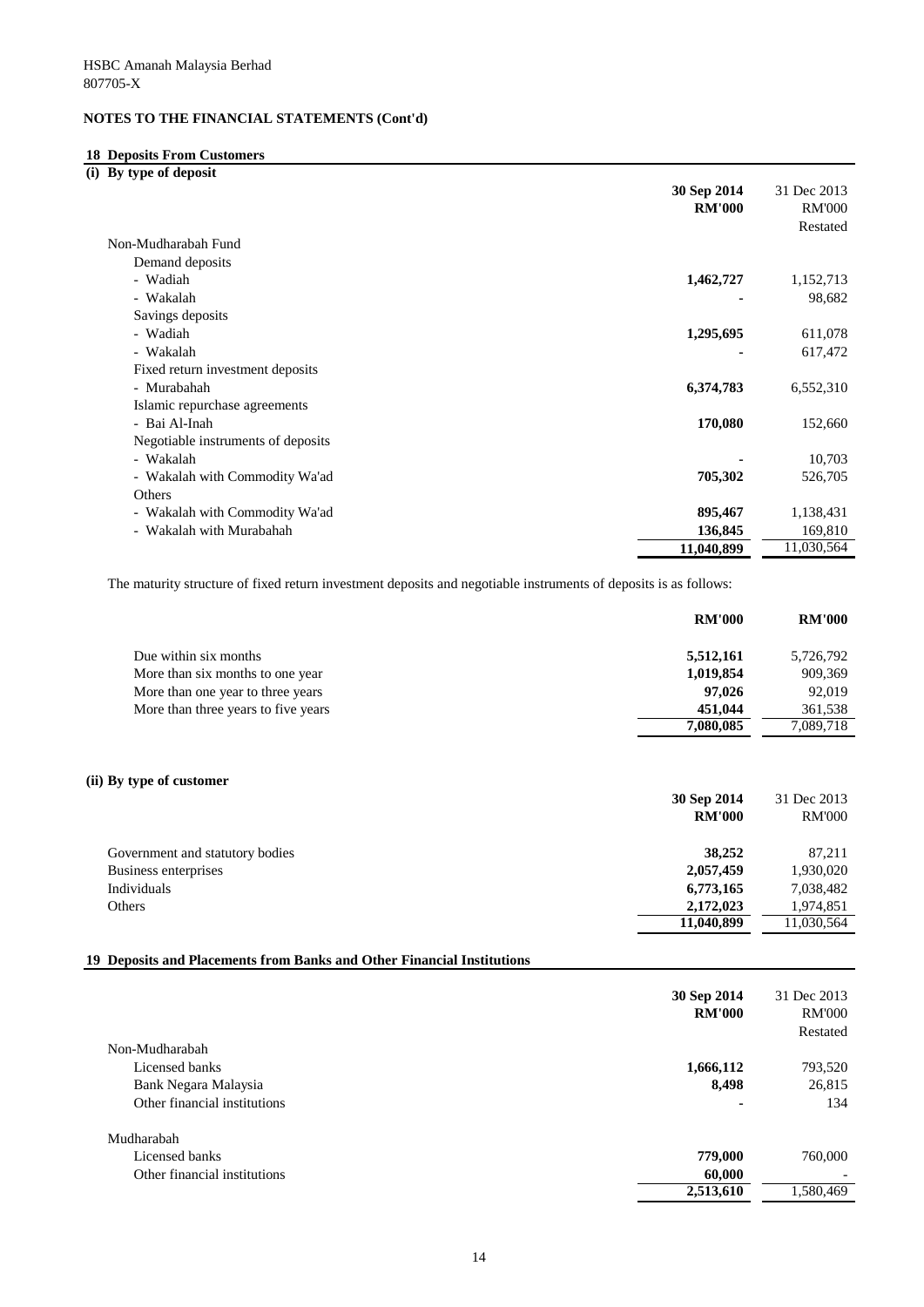### **18 Deposits From Customers**

**(i) By type of deposit**

|                                    | 30 Sep 2014   | 31 Dec 2013   |
|------------------------------------|---------------|---------------|
|                                    | <b>RM'000</b> | <b>RM'000</b> |
|                                    |               | Restated      |
| Non-Mudharabah Fund                |               |               |
| Demand deposits                    |               |               |
| - Wadiah                           | 1,462,727     | 1,152,713     |
| - Wakalah                          |               | 98,682        |
| Savings deposits                   |               |               |
| - Wadiah                           | 1,295,695     | 611,078       |
| - Wakalah                          |               | 617,472       |
| Fixed return investment deposits   |               |               |
| - Murabahah                        | 6,374,783     | 6,552,310     |
| Islamic repurchase agreements      |               |               |
| - Bai Al-Inah                      | 170,080       | 152,660       |
| Negotiable instruments of deposits |               |               |
| - Wakalah                          |               | 10,703        |
| - Wakalah with Commodity Wa'ad     | 705,302       | 526,705       |
| Others                             |               |               |
| - Wakalah with Commodity Wa'ad     | 895,467       | 1,138,431     |
| - Wakalah with Murabahah           | 136,845       | 169,810       |
|                                    | 11,040,899    | 11,030,564    |

The maturity structure of fixed return investment deposits and negotiable instruments of deposits is as follows:

| <b>RM'000</b> | <b>RM'000</b> |
|---------------|---------------|
| 5,512,161     | 5,726,792     |
| 1,019,854     | 909,369       |
| 97,026        | 92,019        |
| 451,044       | 361,538       |
| 7,080,085     | 7,089,718     |
|               |               |
|               |               |

### **(ii) By type of customer**

|                                 | 30 Sep 2014   | 31 Dec 2013   |
|---------------------------------|---------------|---------------|
|                                 | <b>RM'000</b> | <b>RM'000</b> |
| Government and statutory bodies | 38,252        | 87,211        |
| Business enterprises            | 2,057,459     | 1,930,020     |
| Individuals                     | 6,773,165     | 7,038,482     |
| Others                          | 2,172,023     | 1,974,851     |
|                                 | 11,040,899    | 11,030,564    |

#### **19 Deposits and Placements from Banks and Other Financial Institutions**

|                              | 30 Sep 2014<br><b>RM'000</b> | 31 Dec 2013<br><b>RM'000</b><br>Restated |
|------------------------------|------------------------------|------------------------------------------|
| Non-Mudharabah               |                              |                                          |
| Licensed banks               | 1,666,112                    | 793,520                                  |
| Bank Negara Malaysia         | 8,498                        | 26,815                                   |
| Other financial institutions | $\blacksquare$               | 134                                      |
| Mudharabah                   |                              |                                          |
| Licensed banks               | 779,000                      | 760,000                                  |
| Other financial institutions | 60,000                       |                                          |
|                              | 2,513,610                    | 1,580,469                                |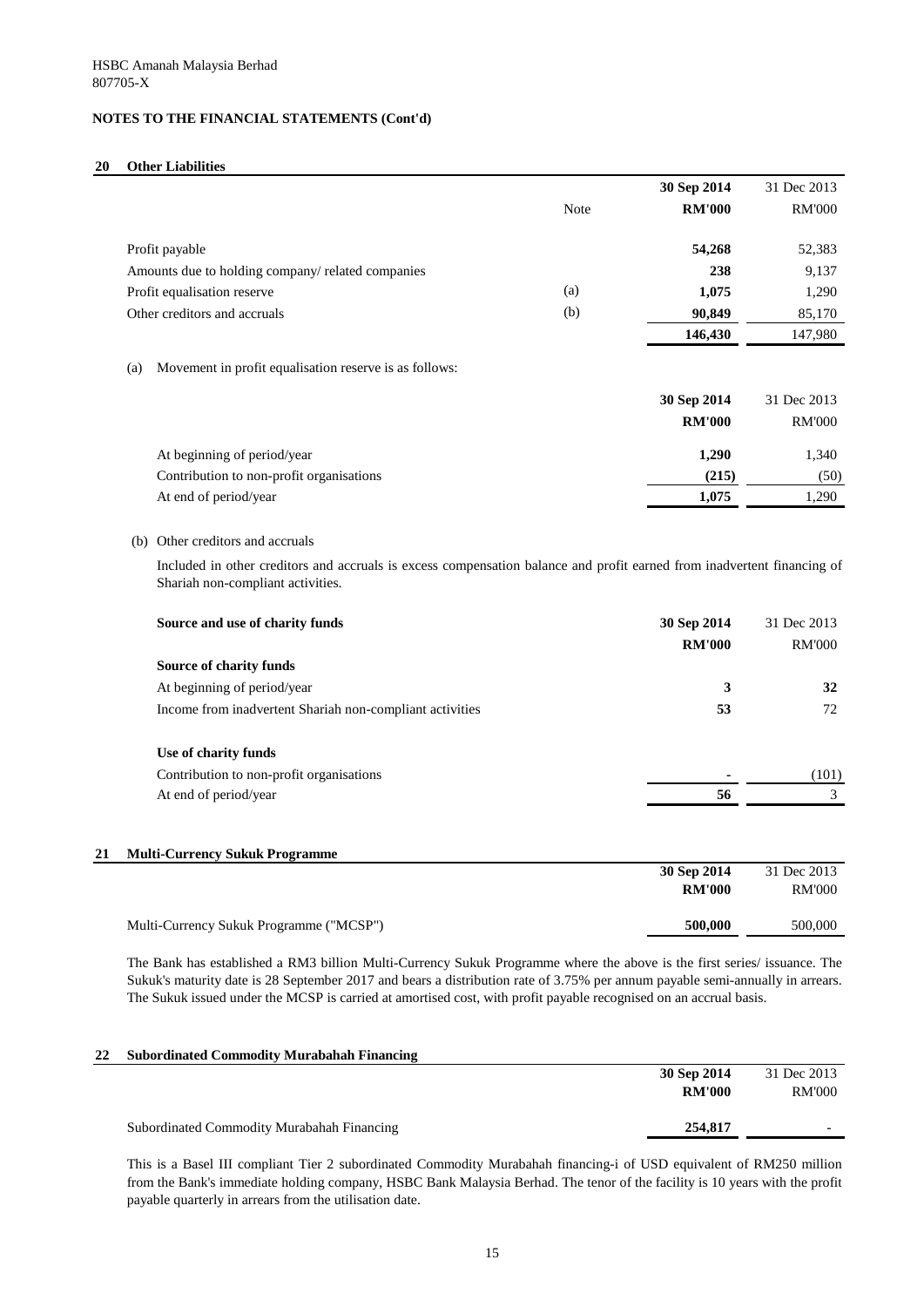### **20 Other Liabilities**

|     |                                                          |             | 30 Sep 2014                                                                                                             | 31 Dec 2013                  |
|-----|----------------------------------------------------------|-------------|-------------------------------------------------------------------------------------------------------------------------|------------------------------|
|     |                                                          | <b>Note</b> | <b>RM'000</b>                                                                                                           | <b>RM'000</b>                |
|     | Profit payable                                           |             | 54,268                                                                                                                  | 52,383                       |
|     | Amounts due to holding company/ related companies        |             | 238                                                                                                                     | 9,137                        |
|     | Profit equalisation reserve                              | (a)         | 1,075                                                                                                                   | 1,290                        |
|     | Other creditors and accruals                             | (b)         | 90,849                                                                                                                  | 85,170                       |
|     |                                                          |             | 146,430                                                                                                                 | 147,980                      |
| (a) | Movement in profit equalisation reserve is as follows:   |             |                                                                                                                         |                              |
|     |                                                          |             | 30 Sep 2014                                                                                                             | 31 Dec 2013                  |
|     |                                                          |             | <b>RM'000</b>                                                                                                           | <b>RM'000</b>                |
|     | At beginning of period/year                              |             | 1,290                                                                                                                   | 1,340                        |
|     | Contribution to non-profit organisations                 |             | (215)                                                                                                                   | (50)                         |
|     | At end of period/year                                    |             | 1,075                                                                                                                   | 1,290                        |
|     | Shariah non-compliant activities.                        |             | Included in other creditors and accruals is excess compensation balance and profit earned from inadvertent financing of |                              |
|     | Source and use of charity funds                          |             | 30 Sep 2014<br><b>RM'000</b>                                                                                            | 31 Dec 2013<br><b>RM'000</b> |
|     | Source of charity funds                                  |             |                                                                                                                         |                              |
|     | At beginning of period/year                              |             | $\mathbf{3}$                                                                                                            | 32                           |
|     | Income from inadvertent Shariah non-compliant activities |             | 53                                                                                                                      | 72                           |
|     | Use of charity funds                                     |             |                                                                                                                         |                              |
|     | Contribution to non-profit organisations                 |             |                                                                                                                         |                              |
|     | At end of period/year                                    |             | 56                                                                                                                      | $\mathfrak{Z}$               |
|     |                                                          |             |                                                                                                                         |                              |
|     | <b>Multi-Currency Sukuk Programme</b>                    |             | 30 Sep 2014                                                                                                             | 31 Dec 2013                  |
|     |                                                          |             | <b>RM'000</b>                                                                                                           | (101)<br><b>RM'000</b>       |
|     | Multi-Currency Sukuk Programme ("MCSP")                  |             | 500,000                                                                                                                 | 500,000                      |

The Bank has established a RM3 billion Multi-Currency Sukuk Programme where the above is the first series/ issuance. The Sukuk's maturity date is 28 September 2017 and bears a distribution rate of 3.75% per annum payable semi-annually in arrears. The Sukuk issued under the MCSP is carried at amortised cost, with profit payable recognised on an accrual basis.

| 22 | <b>Subordinated Commodity Murabahah Financing</b> |               |             |
|----|---------------------------------------------------|---------------|-------------|
|    |                                                   | 30 Sep 2014   | 31 Dec 2013 |
|    |                                                   | <b>RM'000</b> | RM'000      |
|    | Subordinated Commodity Murabahah Financing        | 254,817       |             |

This is a Basel III compliant Tier 2 subordinated Commodity Murabahah financing-i of USD equivalent of RM250 million from the Bank's immediate holding company, HSBC Bank Malaysia Berhad. The tenor of the facility is 10 years with the profit payable quarterly in arrears from the utilisation date.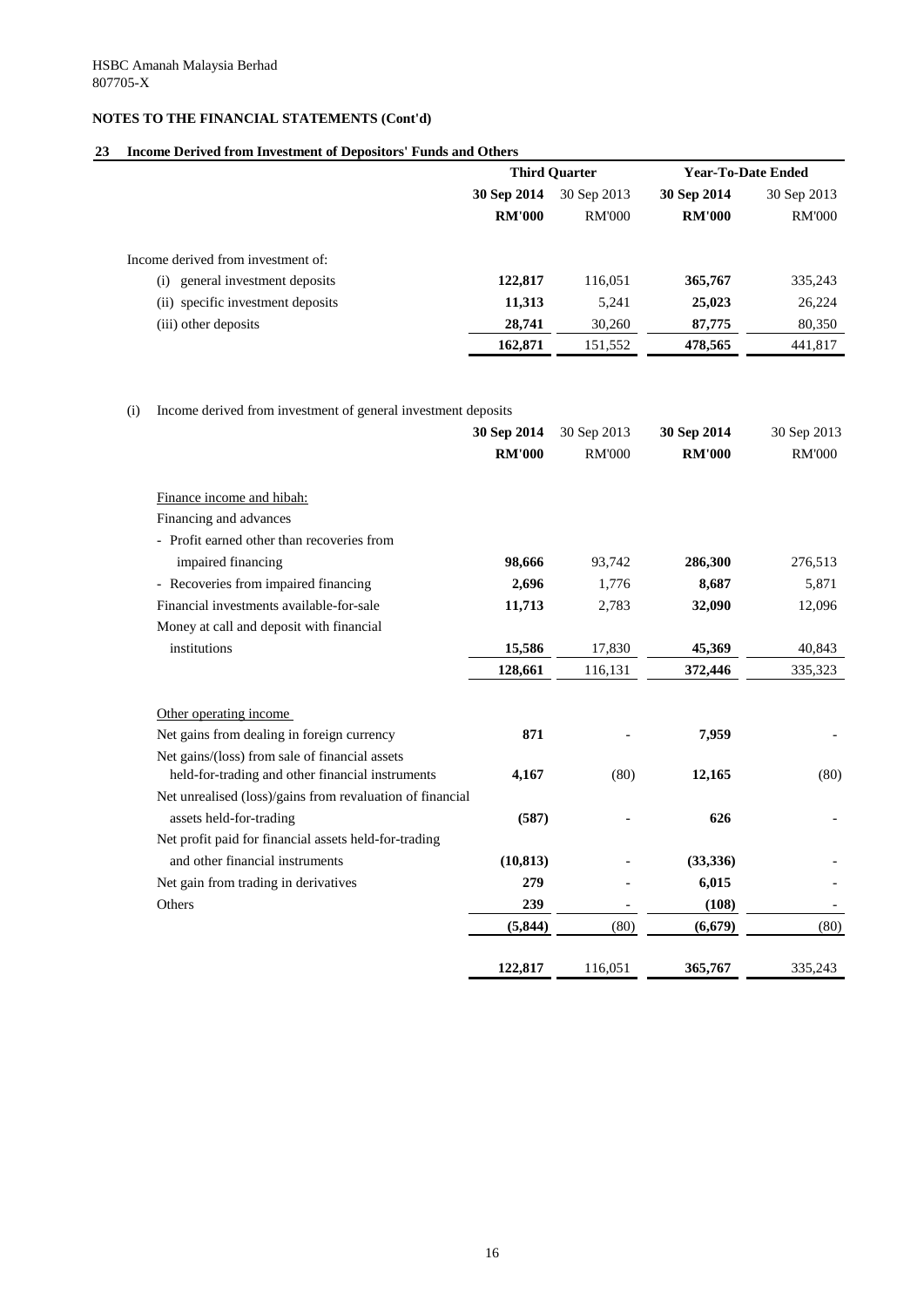### **23 Income Derived from Investment of Depositors' Funds and Others**

|                                      | <b>Third Quarter</b>       |               | <b>Year-To-Date Ended</b> |               |
|--------------------------------------|----------------------------|---------------|---------------------------|---------------|
|                                      | 30 Sep 2014<br>30 Sep 2013 |               | 30 Sep 2014               | 30 Sep 2013   |
|                                      | <b>RM'000</b>              | <b>RM'000</b> | <b>RM'000</b>             | <b>RM'000</b> |
| Income derived from investment of:   |                            |               |                           |               |
| general investment deposits<br>(i)   | 122,817                    | 116,051       | 365,767                   | 335,243       |
| specific investment deposits<br>(ii) | 11,313                     | 5,241         | 25,023                    | 26,224        |
| (iii) other deposits                 | 28,741                     | 30,260        | 87,775                    | 80,350        |
|                                      | 162,871                    | 151,552       | 478,565                   | 441,817       |

(i) Income derived from investment of general investment deposits

|                                                                                                    | 30 Sep 2014   | 30 Sep 2013   | 30 Sep 2014   | 30 Sep 2013   |
|----------------------------------------------------------------------------------------------------|---------------|---------------|---------------|---------------|
|                                                                                                    | <b>RM'000</b> | <b>RM'000</b> | <b>RM'000</b> | <b>RM'000</b> |
| Finance income and hibah:                                                                          |               |               |               |               |
| Financing and advances                                                                             |               |               |               |               |
| - Profit earned other than recoveries from                                                         |               |               |               |               |
| impaired financing                                                                                 | 98,666        | 93,742        | 286,300       | 276,513       |
| - Recoveries from impaired financing                                                               | 2,696         | 1,776         | 8,687         | 5,871         |
| Financial investments available-for-sale                                                           | 11,713        | 2,783         | 32,090        | 12,096        |
| Money at call and deposit with financial                                                           |               |               |               |               |
| institutions                                                                                       | 15,586        | 17,830        | 45,369        | 40,843        |
|                                                                                                    | 128,661       | 116,131       | 372,446       | 335,323       |
| Other operating income                                                                             |               |               |               |               |
| Net gains from dealing in foreign currency                                                         | 871           |               | 7,959         |               |
| Net gains/(loss) from sale of financial assets<br>held-for-trading and other financial instruments | 4,167         | (80)          | 12,165        | (80)          |
| Net unrealised (loss)/gains from revaluation of financial                                          |               |               |               |               |
| assets held-for-trading                                                                            | (587)         |               | 626           |               |
| Net profit paid for financial assets held-for-trading                                              |               |               |               |               |
| and other financial instruments                                                                    | (10, 813)     |               | (33, 336)     |               |
| Net gain from trading in derivatives                                                               | 279           |               | 6,015         |               |
| Others                                                                                             | 239           |               | (108)         |               |
|                                                                                                    | (5, 844)      | (80)          | (6, 679)      | (80)          |
|                                                                                                    | 122,817       | 116,051       | 365,767       | 335,243       |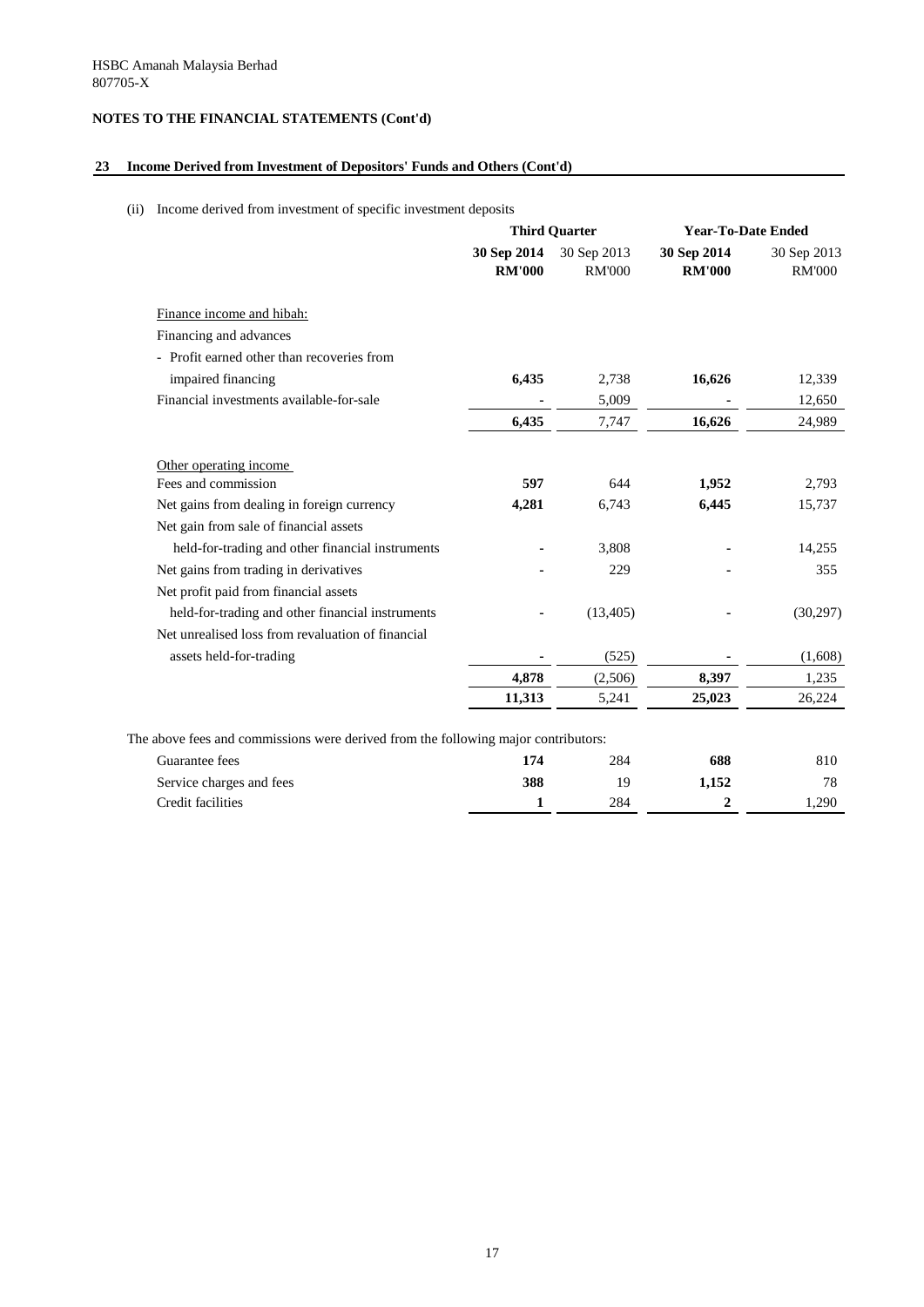## **23 Income Derived from Investment of Depositors' Funds and Others (Cont'd)**

## (ii) Income derived from investment of specific investment deposits

|                                                                                    | <b>Third Quarter</b>         |                              | <b>Year-To-Date Ended</b>    |                              |
|------------------------------------------------------------------------------------|------------------------------|------------------------------|------------------------------|------------------------------|
|                                                                                    | 30 Sep 2014<br><b>RM'000</b> | 30 Sep 2013<br><b>RM'000</b> | 30 Sep 2014<br><b>RM'000</b> | 30 Sep 2013<br><b>RM'000</b> |
| Finance income and hibah:                                                          |                              |                              |                              |                              |
| Financing and advances                                                             |                              |                              |                              |                              |
| - Profit earned other than recoveries from                                         |                              |                              |                              |                              |
| impaired financing                                                                 | 6,435                        | 2,738                        | 16,626                       | 12,339                       |
| Financial investments available-for-sale                                           |                              | 5,009                        |                              | 12,650                       |
|                                                                                    | 6,435                        | 7,747                        | 16,626                       | 24,989                       |
| Other operating income                                                             |                              |                              |                              |                              |
| Fees and commission                                                                | 597                          | 644                          | 1,952                        | 2,793                        |
| Net gains from dealing in foreign currency                                         | 4,281                        | 6,743                        | 6,445                        | 15,737                       |
| Net gain from sale of financial assets                                             |                              |                              |                              |                              |
| held-for-trading and other financial instruments                                   |                              | 3,808                        |                              | 14,255                       |
| Net gains from trading in derivatives                                              |                              | 229                          |                              | 355                          |
| Net profit paid from financial assets                                              |                              |                              |                              |                              |
| held-for-trading and other financial instruments                                   |                              | (13, 405)                    |                              | (30,297)                     |
| Net unrealised loss from revaluation of financial                                  |                              |                              |                              |                              |
| assets held-for-trading                                                            |                              | (525)                        |                              | (1,608)                      |
|                                                                                    | 4,878                        | (2,506)                      | 8,397                        | 1,235                        |
|                                                                                    | 11,313                       | 5,241                        | 25,023                       | 26,224                       |
| The above fees and commissions were derived from the following major contributors: |                              |                              |                              |                              |
| Guarantee fees                                                                     | 174                          | 284                          | 688                          | 810                          |
| Service charges and fees                                                           | 388                          | 19                           | 1,152                        | 78                           |
| Credit facilities                                                                  | 1                            | 284                          | $\mathbf{2}$                 | 1,290                        |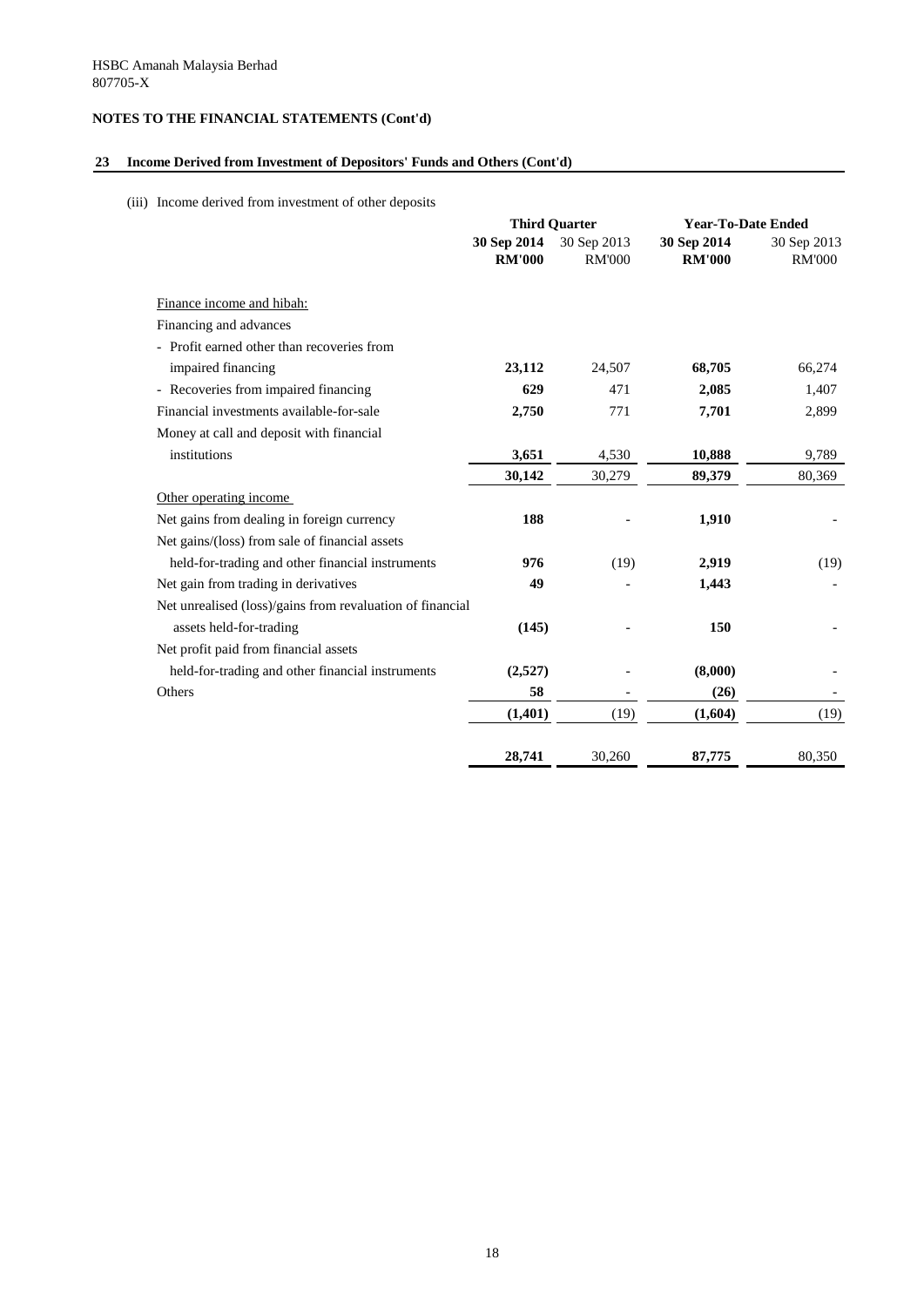## **23 Income Derived from Investment of Depositors' Funds and Others (Cont'd)**

(iii) Income derived from investment of other deposits

|                                                           |                              | <b>Third Quarter</b>         |                              | <b>Year-To-Date Ended</b>    |
|-----------------------------------------------------------|------------------------------|------------------------------|------------------------------|------------------------------|
|                                                           | 30 Sep 2014<br><b>RM'000</b> | 30 Sep 2013<br><b>RM'000</b> | 30 Sep 2014<br><b>RM'000</b> | 30 Sep 2013<br><b>RM'000</b> |
| Finance income and hibah:                                 |                              |                              |                              |                              |
| Financing and advances                                    |                              |                              |                              |                              |
| - Profit earned other than recoveries from                |                              |                              |                              |                              |
| impaired financing                                        | 23,112                       | 24,507                       | 68,705                       | 66,274                       |
| - Recoveries from impaired financing                      | 629                          | 471                          | 2,085                        | 1,407                        |
| Financial investments available-for-sale                  | 2,750                        | 771                          | 7,701                        | 2,899                        |
| Money at call and deposit with financial                  |                              |                              |                              |                              |
| institutions                                              | 3,651                        | 4,530                        | 10,888                       | 9,789                        |
|                                                           | 30,142                       | 30,279                       | 89,379                       | 80,369                       |
| Other operating income                                    |                              |                              |                              |                              |
| Net gains from dealing in foreign currency                | 188                          |                              | 1,910                        |                              |
| Net gains/(loss) from sale of financial assets            |                              |                              |                              |                              |
| held-for-trading and other financial instruments          | 976                          | (19)                         | 2,919                        | (19)                         |
| Net gain from trading in derivatives                      | 49                           |                              | 1,443                        |                              |
| Net unrealised (loss)/gains from revaluation of financial |                              |                              |                              |                              |
| assets held-for-trading                                   | (145)                        |                              | 150                          |                              |
| Net profit paid from financial assets                     |                              |                              |                              |                              |
| held-for-trading and other financial instruments          | (2,527)                      |                              | (8,000)                      |                              |
| Others                                                    | 58                           |                              | (26)                         |                              |
|                                                           | (1, 401)                     | (19)                         | (1,604)                      | (19)                         |
|                                                           |                              |                              |                              |                              |
|                                                           | 28,741                       | 30,260                       | 87,775                       | 80,350                       |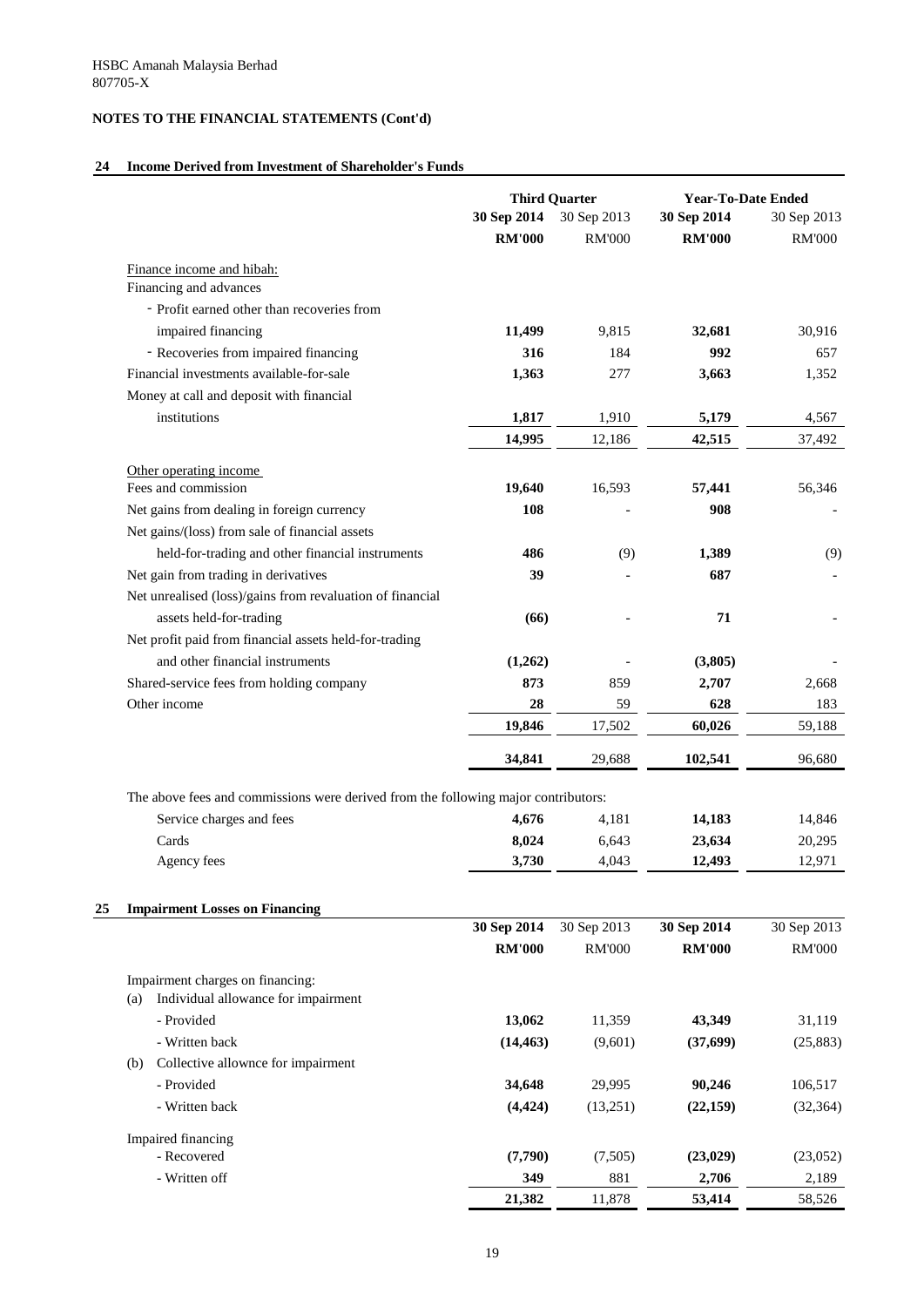## **24 Income Derived from Investment of Shareholder's Funds**

|                                                                                    |               | <b>Third Quarter</b> | <b>Year-To-Date Ended</b> |               |
|------------------------------------------------------------------------------------|---------------|----------------------|---------------------------|---------------|
|                                                                                    | 30 Sep 2014   | 30 Sep 2013          | 30 Sep 2014               | 30 Sep 2013   |
|                                                                                    | <b>RM'000</b> | <b>RM'000</b>        | <b>RM'000</b>             | <b>RM'000</b> |
| Finance income and hibah:                                                          |               |                      |                           |               |
| Financing and advances                                                             |               |                      |                           |               |
| - Profit earned other than recoveries from                                         |               |                      |                           |               |
| impaired financing                                                                 | 11,499        | 9,815                | 32,681                    | 30,916        |
| - Recoveries from impaired financing                                               | 316           | 184                  | 992                       | 657           |
| Financial investments available-for-sale                                           | 1,363         | 277                  | 3,663                     | 1,352         |
| Money at call and deposit with financial                                           |               |                      |                           |               |
| institutions                                                                       | 1,817         | 1,910                | 5,179                     | 4,567         |
|                                                                                    | 14,995        | 12,186               | 42,515                    | 37,492        |
| Other operating income                                                             |               |                      |                           |               |
| Fees and commission                                                                | 19,640        | 16,593               | 57,441                    | 56,346        |
| Net gains from dealing in foreign currency                                         | 108           |                      | 908                       |               |
| Net gains/(loss) from sale of financial assets                                     |               |                      |                           |               |
| held-for-trading and other financial instruments                                   | 486           | (9)                  | 1,389                     | (9)           |
| Net gain from trading in derivatives                                               | 39            |                      | 687                       |               |
| Net unrealised (loss)/gains from revaluation of financial                          |               |                      |                           |               |
| assets held-for-trading                                                            | (66)          |                      | 71                        |               |
| Net profit paid from financial assets held-for-trading                             |               |                      |                           |               |
| and other financial instruments                                                    | (1,262)       |                      | (3,805)                   |               |
| Shared-service fees from holding company                                           | 873           | 859                  | 2,707                     | 2,668         |
| Other income                                                                       | 28            | 59                   | 628                       | 183           |
|                                                                                    | 19,846        | 17,502               | 60,026                    | 59,188        |
|                                                                                    | 34,841        | 29,688               | 102,541                   | 96,680        |
| The above fees and commissions were derived from the following major contributors: |               |                      |                           |               |
| Service charges and fees                                                           | 4,676         | 4,181                | 14,183                    | 14,846        |
| Cards                                                                              | 8,024         | 6,643                | 23,634                    | 20,295        |
| Agency fees                                                                        | 3,730         | 4,043                | 12,493                    | 12,971        |
| <b>Impairment Losses on Financing</b>                                              |               |                      |                           |               |
|                                                                                    | 30 Sep 2014   | 30 Sep 2013          | 30 Sep 2014               | 30 Sep 2013   |
|                                                                                    | <b>RM'000</b> | <b>RM'000</b>        | <b>RM'000</b>             | <b>RM'000</b> |
| Impairment charges on financing:                                                   |               |                      |                           |               |
| Individual allowance for impairment<br>(a)                                         |               |                      |                           |               |
| - Provided                                                                         | 13,062        | 11,359               | 43,349                    | 31,119        |
| - Written back                                                                     | (14, 463)     | (9,601)              | (37,699)                  | (25, 883)     |
| Collective allownce for impairment<br>(b)                                          |               |                      |                           |               |
| - Provided                                                                         | 34,648        | 29,995               | 90,246                    | 106,517       |
| - Written back                                                                     | (4, 424)      | (13,251)             | (22, 159)                 | (32, 364)     |
| Impaired financing                                                                 |               |                      |                           |               |
| - Recovered                                                                        | (7,790)       | (7,505)              | (23, 029)                 | (23,052)      |
| - Written off                                                                      | 349           | 881                  | 2,706                     | 2,189         |
|                                                                                    | 21,382        | 11,878               | 53,414                    | 58,526        |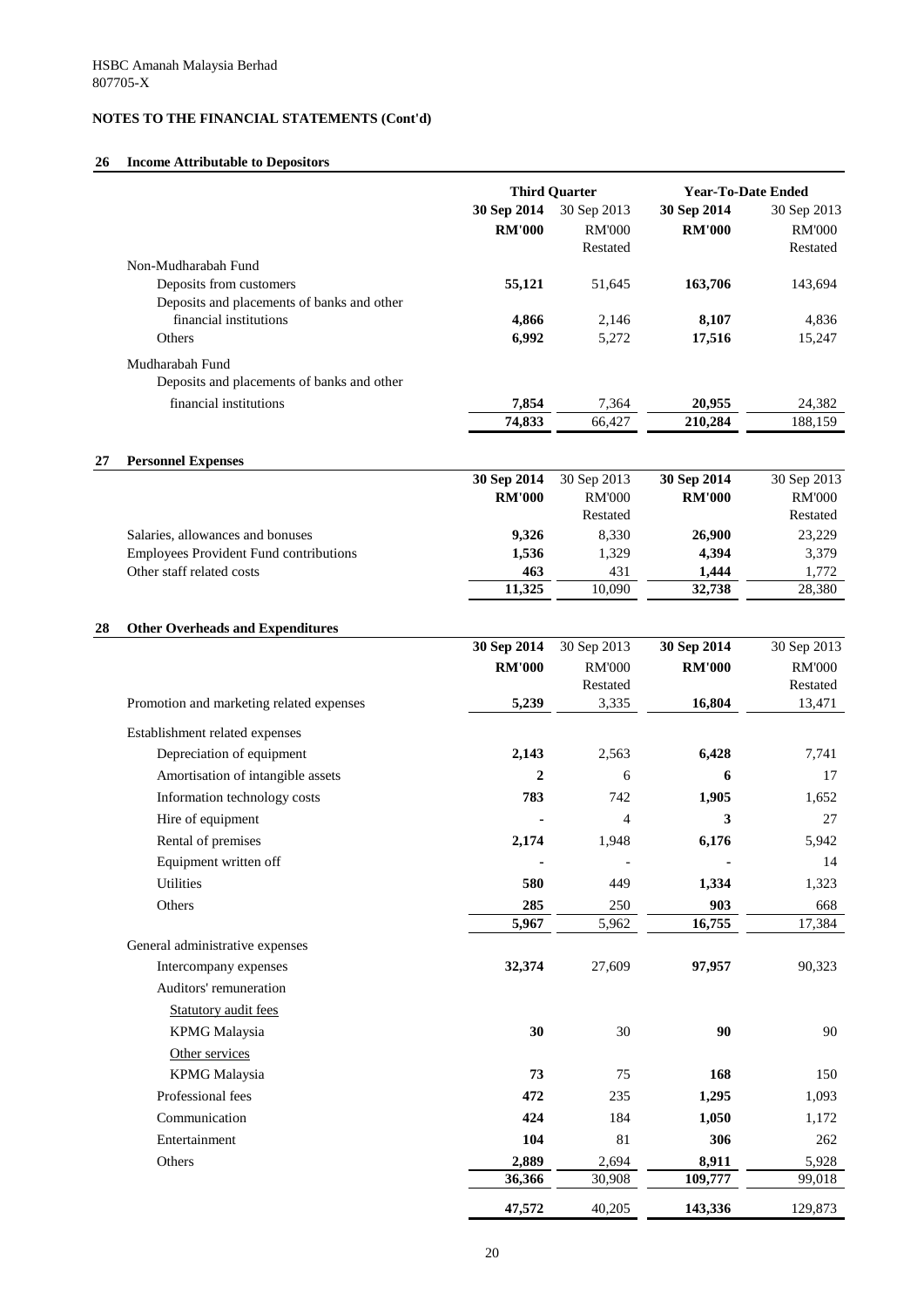## **26 Income Attributable to Depositors**

| 26 | <b>Income Attributable to Depositors</b>                                          |                |                      |                           |                 |  |
|----|-----------------------------------------------------------------------------------|----------------|----------------------|---------------------------|-----------------|--|
|    |                                                                                   |                | <b>Third Quarter</b> | <b>Year-To-Date Ended</b> |                 |  |
|    |                                                                                   | 30 Sep 2014    | 30 Sep 2013          | 30 Sep 2014               | 30 Sep 2013     |  |
|    |                                                                                   | <b>RM'000</b>  | <b>RM'000</b>        | <b>RM'000</b>             | <b>RM'000</b>   |  |
|    |                                                                                   |                | Restated             |                           | Restated        |  |
|    | Non-Mudharabah Fund                                                               |                |                      |                           |                 |  |
|    | Deposits from customers                                                           | 55,121         | 51,645               | 163,706                   | 143,694         |  |
|    | Deposits and placements of banks and other<br>financial institutions              | 4,866          | 2,146                | 8,107                     | 4,836           |  |
|    | Others                                                                            | 6,992          | 5,272                | 17,516                    | 15,247          |  |
|    | Mudharabah Fund                                                                   |                |                      |                           |                 |  |
|    | Deposits and placements of banks and other                                        |                |                      |                           |                 |  |
|    | financial institutions                                                            | 7,854          | 7,364                | 20,955                    | 24,382          |  |
|    |                                                                                   | 74,833         | 66,427               | 210,284                   | 188,159         |  |
|    |                                                                                   |                |                      |                           |                 |  |
| 27 | <b>Personnel Expenses</b>                                                         |                |                      |                           |                 |  |
|    |                                                                                   | 30 Sep 2014    | 30 Sep 2013          | 30 Sep 2014               | 30 Sep 2013     |  |
|    |                                                                                   | <b>RM'000</b>  | <b>RM'000</b>        | <b>RM'000</b>             | <b>RM'000</b>   |  |
|    |                                                                                   |                | Restated             |                           | Restated        |  |
|    | Salaries, allowances and bonuses<br><b>Employees Provident Fund contributions</b> | 9,326<br>1,536 | 8,330<br>1,329       | 26,900<br>4,394           | 23,229<br>3,379 |  |
|    | Other staff related costs                                                         | 463            | 431                  | 1,444                     | 1,772           |  |
|    |                                                                                   | 11,325         | 10,090               | 32,738                    | 28,380          |  |
|    |                                                                                   |                |                      |                           |                 |  |
| 28 | <b>Other Overheads and Expenditures</b>                                           |                |                      |                           |                 |  |
|    |                                                                                   | 30 Sep 2014    | 30 Sep 2013          | 30 Sep 2014               | 30 Sep 2013     |  |
|    |                                                                                   | <b>RM'000</b>  | <b>RM'000</b>        | <b>RM'000</b>             | <b>RM'000</b>   |  |
|    |                                                                                   |                | Restated             |                           | Restated        |  |
|    | Promotion and marketing related expenses                                          | 5,239          | 3,335                | 16,804                    | 13,471          |  |
|    | Establishment related expenses                                                    |                |                      |                           |                 |  |
|    | Depreciation of equipment                                                         | 2,143          | 2,563                | 6,428                     | 7,741           |  |
|    | Amortisation of intangible assets                                                 | $\overline{2}$ | 6                    | 6                         | 17              |  |
|    | Information technology costs                                                      | 783            | 742                  | 1,905                     | 1,652           |  |
|    | Hire of equipment                                                                 |                | $\overline{4}$       | 3                         | 27              |  |
|    | Rental of premises                                                                | 2,174          | 1,948                | 6,176                     | 5,942           |  |
|    | Equipment written off                                                             |                |                      |                           | 14              |  |
|    | <b>Utilities</b>                                                                  | 580            | 449                  | 1,334                     | 1,323           |  |
|    | Others                                                                            | 285            | 250                  | 903                       | 668             |  |
|    |                                                                                   | 5,967          | 5,962                | 16,755                    | 17,384          |  |
|    | General administrative expenses                                                   |                |                      |                           |                 |  |
|    | Intercompany expenses                                                             | 32,374         | 27,609               | 97,957                    | 90,323          |  |
|    | Auditors' remuneration                                                            |                |                      |                           |                 |  |
|    | <b>Statutory audit fees</b>                                                       |                |                      |                           |                 |  |
|    | <b>KPMG</b> Malaysia                                                              | 30             | 30                   | 90                        | 90              |  |
|    | Other services                                                                    |                |                      |                           |                 |  |
|    | <b>KPMG</b> Malaysia                                                              | 73             | 75                   | 168                       | 150             |  |
|    | Professional fees                                                                 | 472            | 235                  | 1,295                     | 1,093           |  |
|    | Communication                                                                     | 424            | 184                  | 1,050                     | 1,172           |  |
|    | Entertainment                                                                     | 104            | 81                   | 306                       | 262             |  |
|    | Others                                                                            | 2,889          | 2,694                | 8,911                     | 5,928           |  |
|    |                                                                                   | 36,366         | 30,908               | 109,777                   | 99,018          |  |
|    |                                                                                   |                | 40,205               |                           | 129,873         |  |
|    |                                                                                   | 47,572         |                      | 143,336                   |                 |  |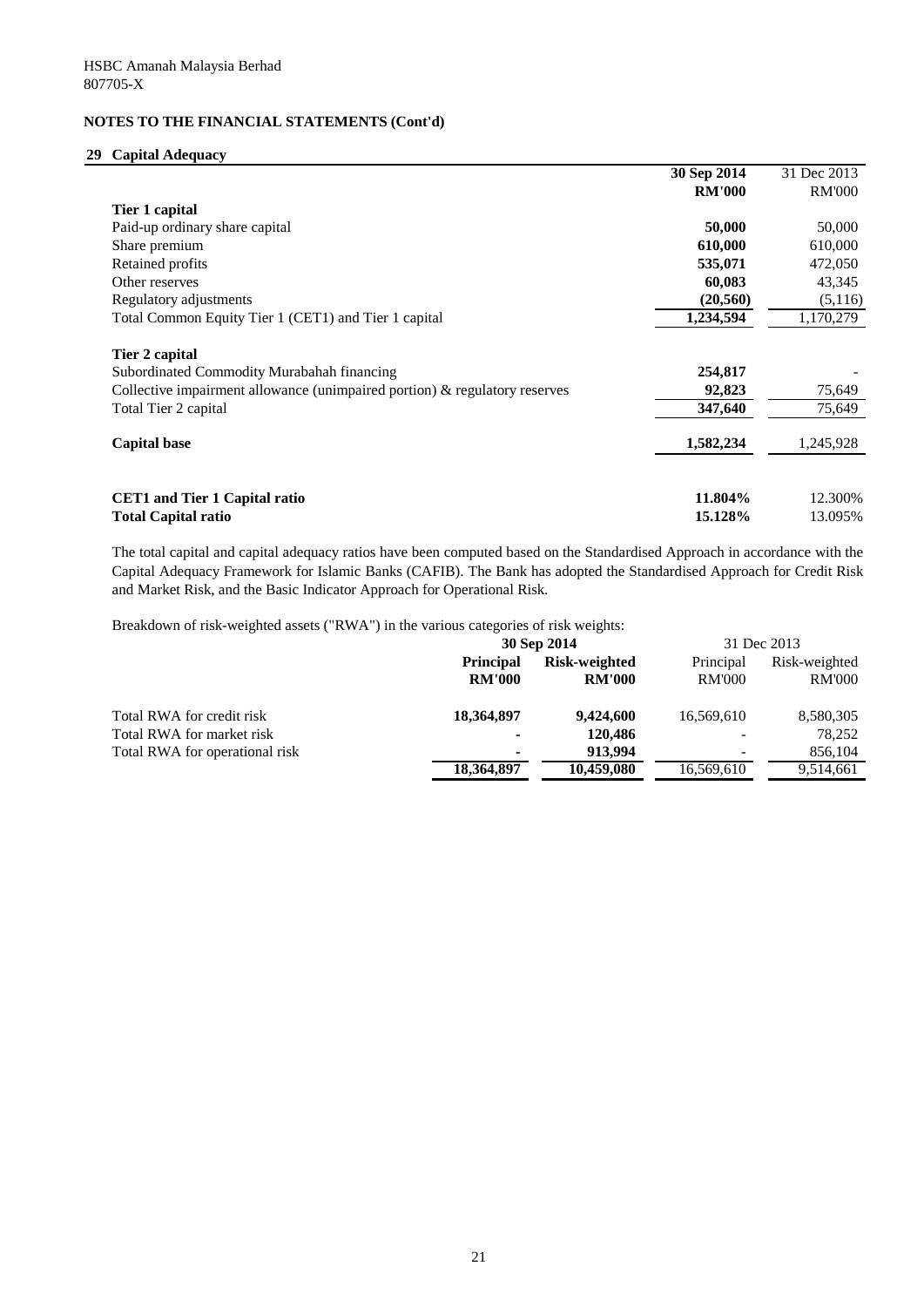## **29 Capital Adequacy**

|                                                                               | 30 Sep 2014   | 31 Dec 2013   |
|-------------------------------------------------------------------------------|---------------|---------------|
|                                                                               | <b>RM'000</b> | <b>RM'000</b> |
| Tier 1 capital                                                                |               |               |
| Paid-up ordinary share capital                                                | 50,000        | 50,000        |
| Share premium                                                                 | 610,000       | 610,000       |
| Retained profits                                                              | 535,071       | 472,050       |
| Other reserves                                                                | 60,083        | 43,345        |
| Regulatory adjustments                                                        | (20, 560)     | (5,116)       |
| Total Common Equity Tier 1 (CET1) and Tier 1 capital                          | 1,234,594     | 1,170,279     |
| Tier 2 capital                                                                |               |               |
| Subordinated Commodity Murabahah financing                                    | 254,817       |               |
| Collective impairment allowance (unimpaired portion) $\&$ regulatory reserves | 92,823        | 75,649        |
| Total Tier 2 capital                                                          | 347,640       | 75,649        |
| <b>Capital base</b>                                                           | 1,582,234     | 1,245,928     |
|                                                                               |               |               |
| <b>CET1</b> and Tier 1 Capital ratio                                          | 11.804%       | 12.300%       |
| <b>Total Capital ratio</b>                                                    | 15.128%       | 13.095%       |

The total capital and capital adequacy ratios have been computed based on the Standardised Approach in accordance with the Capital Adequacy Framework for Islamic Banks (CAFIB). The Bank has adopted the Standardised Approach for Credit Risk and Market Risk, and the Basic Indicator Approach for Operational Risk.

Breakdown of risk-weighted assets ("RWA") in the various categories of risk weights:

| 30 Sep 2014      |                      | 31 Dec 2013   |               |
|------------------|----------------------|---------------|---------------|
| <b>Principal</b> | <b>Risk-weighted</b> | Principal     | Risk-weighted |
| <b>RM'000</b>    | <b>RM'000</b>        | <b>RM'000</b> | <b>RM'000</b> |
| 18,364,897       | 9,424,600            | 16,569,610    | 8,580,305     |
| $\blacksquare$   | 120,486              |               | 78,252        |
| $\blacksquare$   | 913,994              |               | 856,104       |
| 18,364,897       | 10,459,080           | 16,569,610    | 9,514,661     |
|                  |                      |               |               |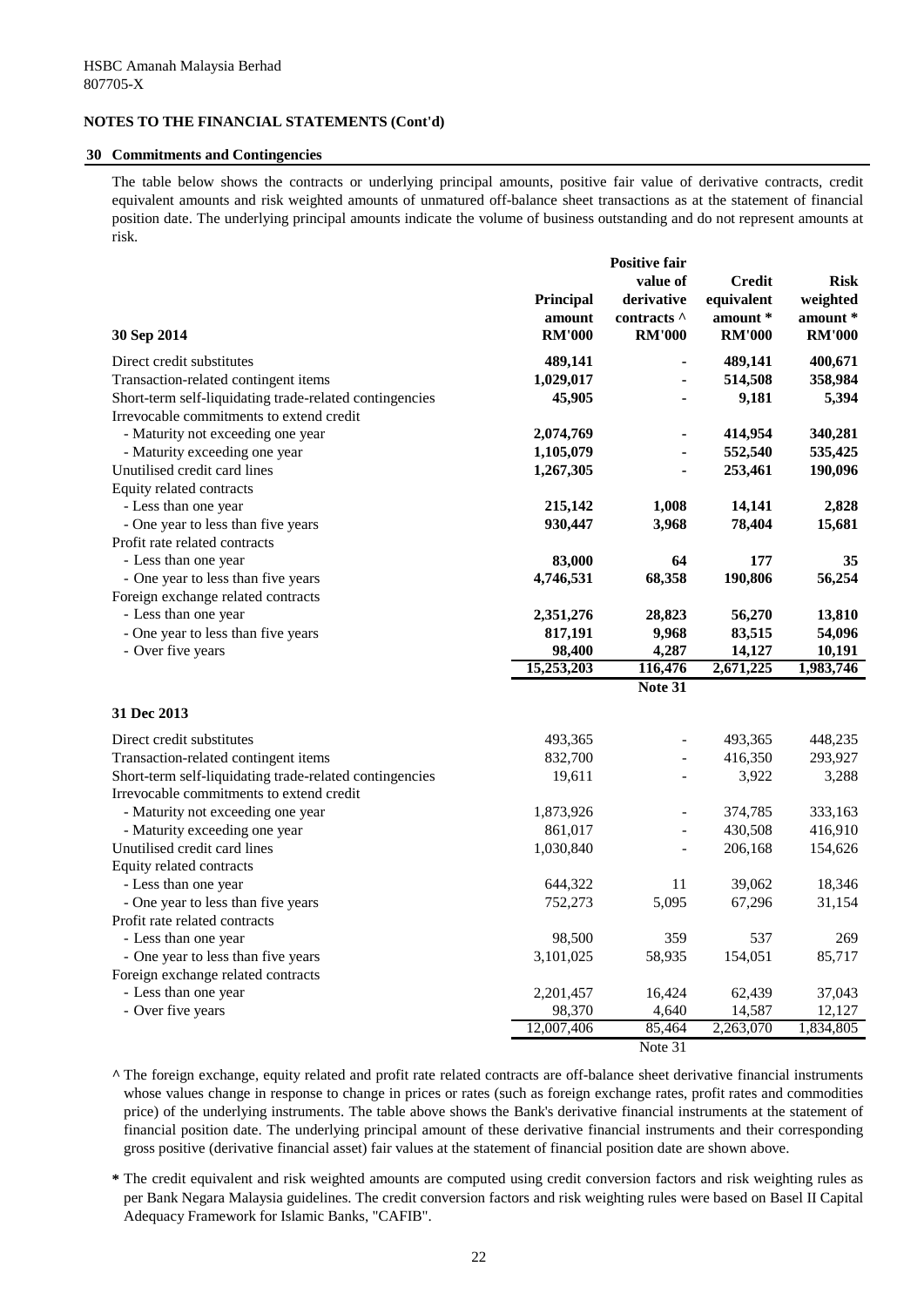#### **30 Commitments and Contingencies**

The table below shows the contracts or underlying principal amounts, positive fair value of derivative contracts, credit equivalent amounts and risk weighted amounts of unmatured off-balance sheet transactions as at the statement of financial position date. The underlying principal amounts indicate the volume of business outstanding and do not represent amounts at risk.

|                                                         |               | <b>Positive fair</b> |               |               |
|---------------------------------------------------------|---------------|----------------------|---------------|---------------|
|                                                         |               | value of             | <b>Credit</b> | <b>Risk</b>   |
|                                                         | Principal     | derivative           | equivalent    | weighted      |
|                                                         | amount        | contracts ^          | amount *      | amount *      |
| 30 Sep 2014                                             | <b>RM'000</b> | <b>RM'000</b>        | <b>RM'000</b> | <b>RM'000</b> |
| Direct credit substitutes                               | 489,141       |                      | 489,141       | 400,671       |
| Transaction-related contingent items                    | 1,029,017     |                      | 514,508       | 358,984       |
| Short-term self-liquidating trade-related contingencies | 45,905        |                      | 9,181         | 5,394         |
| Irrevocable commitments to extend credit                |               |                      |               |               |
| - Maturity not exceeding one year                       | 2,074,769     |                      | 414,954       | 340,281       |
| - Maturity exceeding one year                           | 1,105,079     |                      | 552,540       | 535,425       |
| Unutilised credit card lines                            | 1,267,305     |                      | 253,461       | 190,096       |
| Equity related contracts                                |               |                      |               |               |
| - Less than one year                                    | 215,142       | 1,008                | 14,141        | 2,828         |
| - One year to less than five years                      | 930,447       | 3,968                | 78,404        | 15,681        |
| Profit rate related contracts                           |               |                      |               |               |
| - Less than one year                                    | 83,000        | 64                   | 177           | 35            |
| - One year to less than five years                      | 4,746,531     | 68,358               | 190,806       | 56,254        |
| Foreign exchange related contracts                      |               |                      |               |               |
| - Less than one year                                    | 2,351,276     | 28,823               | 56,270        | 13,810        |
| - One year to less than five years                      | 817,191       | 9,968                | 83,515        | 54,096        |
| - Over five years                                       | 98,400        | 4,287                | 14,127        | 10,191        |
|                                                         | 15,253,203    | 116,476              | 2,671,225     | 1,983,746     |
|                                                         |               | Note 31              |               |               |
| 31 Dec 2013                                             |               |                      |               |               |
| Direct credit substitutes                               | 493,365       |                      | 493,365       | 448,235       |
| Transaction-related contingent items                    | 832,700       |                      | 416,350       | 293,927       |
| Short-term self-liquidating trade-related contingencies | 19,611        |                      | 3,922         | 3,288         |
| Irrevocable commitments to extend credit                |               |                      |               |               |
| - Maturity not exceeding one year                       | 1,873,926     |                      | 374,785       | 333,163       |
| - Maturity exceeding one year                           | 861,017       |                      | 430,508       | 416,910       |
| Unutilised credit card lines                            | 1,030,840     |                      | 206,168       | 154,626       |
| Equity related contracts                                |               |                      |               |               |
| - Less than one year                                    | 644,322       | 11                   | 39,062        | 18,346        |
| - One year to less than five years                      | 752,273       | 5,095                | 67,296        | 31,154        |
| Profit rate related contracts                           |               |                      |               |               |
| - Less than one year                                    | 98,500        | 359                  | 537           | 269           |
| - One year to less than five years                      | 3,101,025     | 58,935               | 154,051       | 85,717        |
| Foreign exchange related contracts                      |               |                      |               |               |
| - Less than one year                                    | 2,201,457     | 16,424               | 62,439        | 37,043        |
| - Over five years                                       | 98,370        | 4,640                | 14,587        | 12,127        |
|                                                         | 12,007,406    | 85,464               | 2,263,070     | 1,834,805     |
|                                                         |               | Note 31              |               |               |

**^** The foreign exchange, equity related and profit rate related contracts are off-balance sheet derivative financial instruments whose values change in response to change in prices or rates (such as foreign exchange rates, profit rates and commodities price) of the underlying instruments. The table above shows the Bank's derivative financial instruments at the statement of financial position date. The underlying principal amount of these derivative financial instruments and their corresponding gross positive (derivative financial asset) fair values at the statement of financial position date are shown above.

**\*** The credit equivalent and risk weighted amounts are computed using credit conversion factors and risk weighting rules as per Bank Negara Malaysia guidelines. The credit conversion factors and risk weighting rules were based on Basel II Capital Adequacy Framework for Islamic Banks, "CAFIB".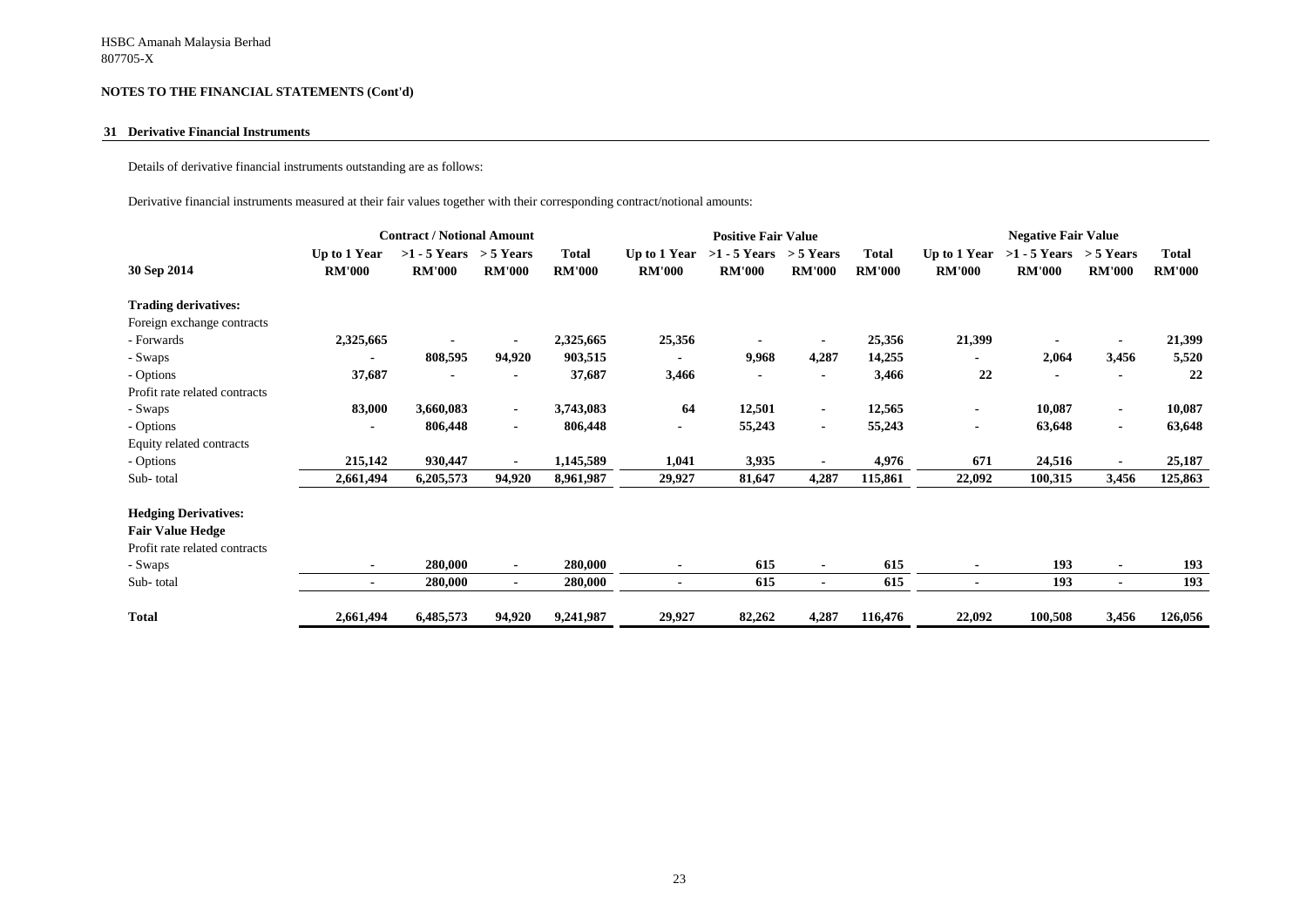#### **31 Derivative Financial Instruments**

Details of derivative financial instruments outstanding are as follows:

Derivative financial instruments measured at their fair values together with their corresponding contract/notional amounts:

|                               | <b>Contract / Notional Amount</b> |                                             |                |                               | <b>Positive Fair Value</b>    |                                             |                |                               | <b>Negative Fair Value</b>    |                                 |                              |                               |
|-------------------------------|-----------------------------------|---------------------------------------------|----------------|-------------------------------|-------------------------------|---------------------------------------------|----------------|-------------------------------|-------------------------------|---------------------------------|------------------------------|-------------------------------|
| 30 Sep 2014                   | Up to 1 Year<br><b>RM'000</b>     | $>1 - 5$ Years $> 5$ Years<br><b>RM'000</b> | <b>RM'000</b>  | <b>Total</b><br><b>RM'000</b> | Up to 1 Year<br><b>RM'000</b> | $>1 - 5$ Years $> 5$ Years<br><b>RM'000</b> | <b>RM'000</b>  | <b>Total</b><br><b>RM'000</b> | Up to 1 Year<br><b>RM'000</b> | $>1 - 5$ Years<br><b>RM'000</b> | $>$ 5 Years<br><b>RM'000</b> | <b>Total</b><br><b>RM'000</b> |
| <b>Trading derivatives:</b>   |                                   |                                             |                |                               |                               |                                             |                |                               |                               |                                 |                              |                               |
| Foreign exchange contracts    |                                   |                                             |                |                               |                               |                                             |                |                               |                               |                                 |                              |                               |
| - Forwards                    | 2,325,665                         |                                             |                | 2,325,665                     | 25,356                        |                                             |                | 25,356                        | 21,399                        |                                 |                              | 21,399                        |
| - Swaps                       | ۰                                 | 808,595                                     | 94,920         | 903,515                       | $\blacksquare$                | 9,968                                       | 4,287          | 14,255                        | ۰                             | 2,064                           | 3,456                        | 5,520                         |
| - Options                     | 37,687                            |                                             |                | 37,687                        | 3,466                         |                                             |                | 3,466                         | 22                            |                                 |                              | 22                            |
| Profit rate related contracts |                                   |                                             |                |                               |                               |                                             |                |                               |                               |                                 |                              |                               |
| - Swaps                       | 83,000                            | 3,660,083                                   | $\sim$         | 3,743,083                     | 64                            | 12,501                                      | $\blacksquare$ | 12,565                        | ۰                             | 10,087                          | $\blacksquare$               | 10,087                        |
| - Options                     | ۰.                                | 806,448                                     | $\sim$         | 806,448                       | $\blacksquare$                | 55,243                                      | $\sim$         | 55,243                        | ۰                             | 63,648                          | $\blacksquare$               | 63,648                        |
| Equity related contracts      |                                   |                                             |                |                               |                               |                                             |                |                               |                               |                                 |                              |                               |
| - Options                     | 215,142                           | 930,447                                     | $\blacksquare$ | 1,145,589                     | 1,041                         | 3,935                                       |                | 4,976                         | 671                           | 24,516                          | $\blacksquare$               | 25,187                        |
| Sub-total                     | 2,661,494                         | 6,205,573                                   | 94,920         | 8,961,987                     | 29,927                        | 81,647                                      | 4,287          | 115,861                       | 22,092                        | 100,315                         | 3,456                        | 125,863                       |
| <b>Hedging Derivatives:</b>   |                                   |                                             |                |                               |                               |                                             |                |                               |                               |                                 |                              |                               |
| <b>Fair Value Hedge</b>       |                                   |                                             |                |                               |                               |                                             |                |                               |                               |                                 |                              |                               |
| Profit rate related contracts |                                   |                                             |                |                               |                               |                                             |                |                               |                               |                                 |                              |                               |
| - Swaps                       | ۰.                                | 280,000                                     | $\blacksquare$ | 280,000                       |                               | 615                                         |                | 615                           |                               | 193                             | $\blacksquare$               | 193                           |
| Sub-total                     | $\sim$                            | 280,000                                     | $\sim$         | 280,000                       | ۰                             | 615                                         | $\sim$         | 615                           | ٠                             | 193                             | $\blacksquare$               | 193                           |
| <b>Total</b>                  | 2,661,494                         | 6,485,573                                   | 94,920         | 9,241,987                     | 29,927                        | 82,262                                      | 4,287          | 116,476                       | 22,092                        | 100,508                         | 3,456                        | 126,056                       |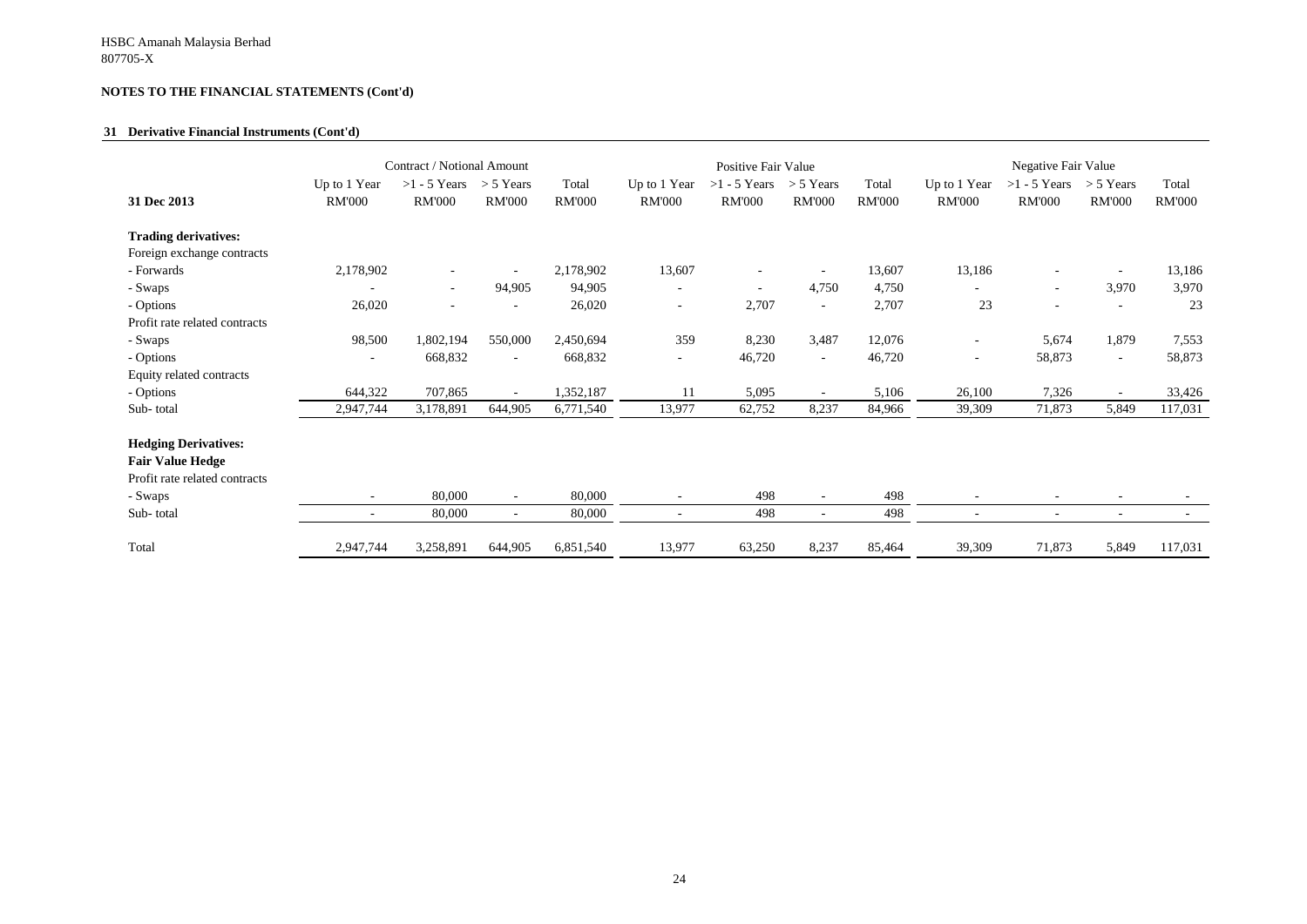#### **31 Derivative Financial Instruments (Cont'd)**

|                                                                                                                 | Contract / Notional Amount                           |                                 |                              | Positive Fair Value    |                                                      |                                 |                              | Negative Fair Value    |                               |                                 |                              |                        |
|-----------------------------------------------------------------------------------------------------------------|------------------------------------------------------|---------------------------------|------------------------------|------------------------|------------------------------------------------------|---------------------------------|------------------------------|------------------------|-------------------------------|---------------------------------|------------------------------|------------------------|
| 31 Dec 2013                                                                                                     | Up to 1 Year<br><b>RM'000</b>                        | $>1 - 5$ Years<br><b>RM'000</b> | $>$ 5 Years<br><b>RM'000</b> | Total<br><b>RM'000</b> | Up to 1 Year<br><b>RM'000</b>                        | $>1 - 5$ Years<br><b>RM'000</b> | $> 5$ Years<br><b>RM'000</b> | Total<br><b>RM'000</b> | Up to 1 Year<br><b>RM'000</b> | $>1 - 5$ Years<br><b>RM'000</b> | $>$ 5 Years<br><b>RM'000</b> | Total<br><b>RM'000</b> |
| <b>Trading derivatives:</b>                                                                                     |                                                      |                                 |                              |                        |                                                      |                                 |                              |                        |                               |                                 |                              |                        |
| Foreign exchange contracts                                                                                      |                                                      |                                 |                              |                        |                                                      |                                 |                              |                        |                               |                                 |                              |                        |
| - Forwards                                                                                                      | 2,178,902                                            |                                 |                              | 2,178,902              | 13,607                                               |                                 |                              | 13,607                 | 13,186                        |                                 |                              | 13,186                 |
| - Swaps                                                                                                         |                                                      | $\overline{\phantom{a}}$        | 94,905                       | 94,905                 | $\overline{\phantom{a}}$                             | $\overline{\phantom{a}}$        | 4,750                        | 4,750                  |                               | $\overline{\phantom{a}}$        | 3,970                        | 3,970                  |
| - Options                                                                                                       | 26,020                                               | $\overline{\phantom{a}}$        |                              | 26,020                 | $\overline{\phantom{a}}$                             | 2,707                           | $\overline{\phantom{a}}$     | 2,707                  | 23                            | $\overline{\phantom{a}}$        | $\overline{\phantom{0}}$     | 23                     |
| Profit rate related contracts                                                                                   |                                                      |                                 |                              |                        |                                                      |                                 |                              |                        |                               |                                 |                              |                        |
| - Swaps                                                                                                         | 98,500                                               | 1,802,194                       | 550,000                      | 2,450,694              | 359                                                  | 8,230                           | 3,487                        | 12,076                 | $\sim$                        | 5,674                           | 1,879                        | 7,553                  |
| - Options                                                                                                       | $\blacksquare$                                       | 668,832                         | $\overline{\phantom{a}}$     | 668,832                | $\overline{\phantom{a}}$                             | 46,720                          | $\overline{\phantom{a}}$     | 46,720                 | $\sim$                        | 58,873                          | $\sim$                       | 58,873                 |
| Equity related contracts                                                                                        |                                                      |                                 |                              |                        |                                                      |                                 |                              |                        |                               |                                 |                              |                        |
| - Options                                                                                                       | 644,322                                              | 707,865                         | $\sim$                       | 1,352,187              | 11                                                   | 5,095                           | $\sim$                       | 5,106                  | 26,100                        | 7,326                           | $\overline{\phantom{a}}$     | 33,426                 |
| Sub-total                                                                                                       | 2,947,744                                            | 3,178,891                       | 644,905                      | 6,771,540              | 13,977                                               | 62,752                          | 8,237                        | 84,966                 | 39,309                        | 71,873                          | 5,849                        | 117,031                |
| <b>Hedging Derivatives:</b><br><b>Fair Value Hedge</b><br>Profit rate related contracts<br>- Swaps<br>Sub-total | $\overline{\phantom{a}}$<br>$\overline{\phantom{a}}$ | 80,000<br>80,000                | $\sim$<br>$\sim$             | 80,000<br>80,000       | $\overline{\phantom{a}}$<br>$\overline{\phantom{a}}$ | 498<br>498                      | $\sim$<br>$\blacksquare$     | 498<br>498             |                               | $\overline{\phantom{a}}$        | $\blacksquare$               |                        |
| Total                                                                                                           | 2,947,744                                            | 3,258,891                       | 644,905                      | 6,851,540              | 13,977                                               | 63,250                          | 8,237                        | 85,464                 | 39,309                        | 71,873                          | 5,849                        | 117,031                |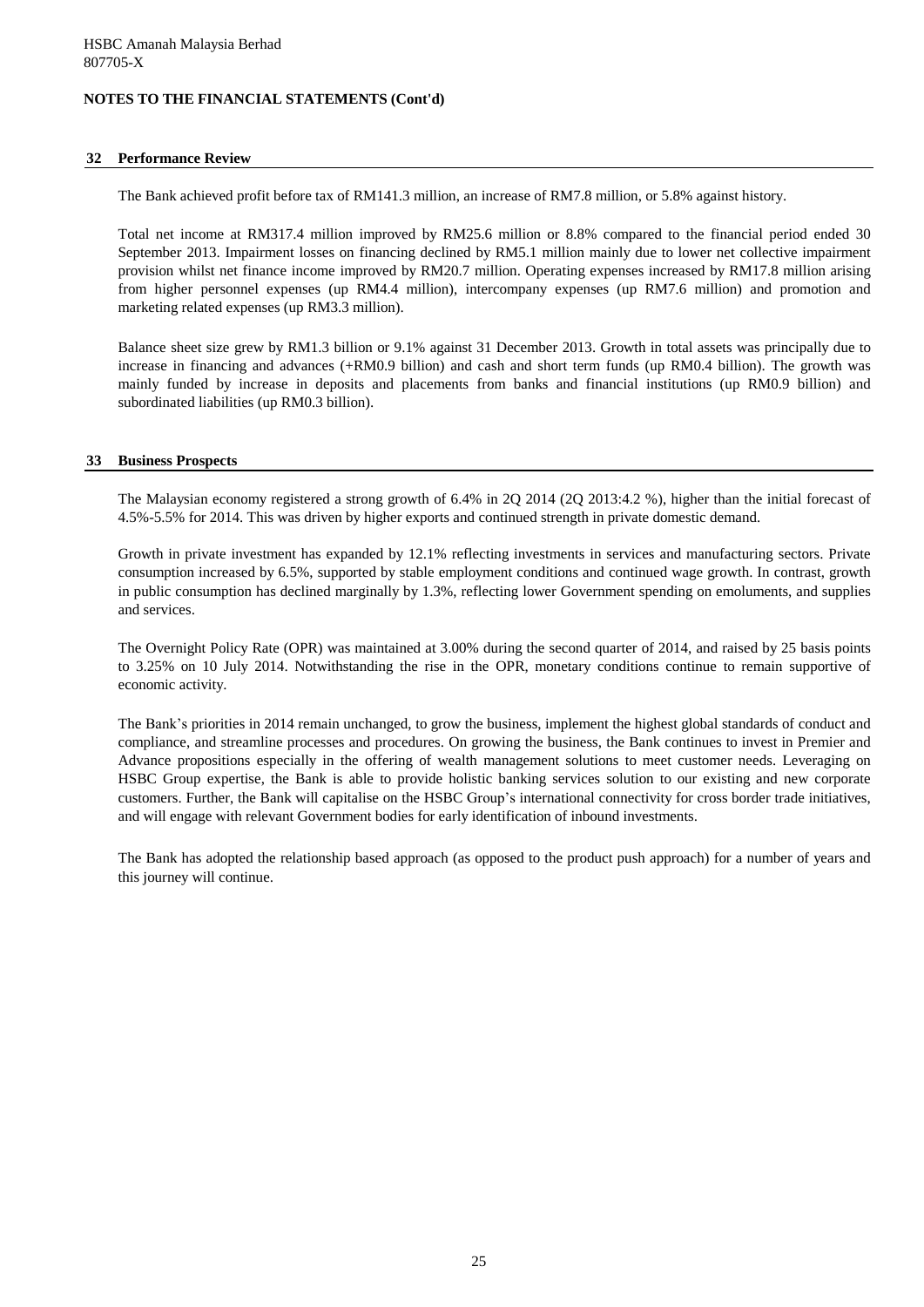#### **32 Performance Review**

The Bank achieved profit before tax of RM141.3 million, an increase of RM7.8 million, or 5.8% against history.

Total net income at RM317.4 million improved by RM25.6 million or 8.8% compared to the financial period ended 30 September 2013. Impairment losses on financing declined by RM5.1 million mainly due to lower net collective impairment provision whilst net finance income improved by RM20.7 million. Operating expenses increased by RM17.8 million arising from higher personnel expenses (up RM4.4 million), intercompany expenses (up RM7.6 million) and promotion and marketing related expenses (up RM3.3 million).

Balance sheet size grew by RM1.3 billion or 9.1% against 31 December 2013. Growth in total assets was principally due to increase in financing and advances (+RM0.9 billion) and cash and short term funds (up RM0.4 billion). The growth was mainly funded by increase in deposits and placements from banks and financial institutions (up RM0.9 billion) and subordinated liabilities (up RM0.3 billion).

#### **33 Business Prospects**

The Malaysian economy registered a strong growth of 6.4% in 2Q 2014 (2Q 2013:4.2 %), higher than the initial forecast of 4.5%-5.5% for 2014. This was driven by higher exports and continued strength in private domestic demand.

Growth in private investment has expanded by 12.1% reflecting investments in services and manufacturing sectors. Private consumption increased by 6.5%, supported by stable employment conditions and continued wage growth. In contrast, growth in public consumption has declined marginally by 1.3%, reflecting lower Government spending on emoluments, and supplies and services.

The Overnight Policy Rate (OPR) was maintained at 3.00% during the second quarter of 2014, and raised by 25 basis points to 3.25% on 10 July 2014. Notwithstanding the rise in the OPR, monetary conditions continue to remain supportive of economic activity.

The Bank's priorities in 2014 remain unchanged, to grow the business, implement the highest global standards of conduct and compliance, and streamline processes and procedures. On growing the business, the Bank continues to invest in Premier and Advance propositions especially in the offering of wealth management solutions to meet customer needs. Leveraging on HSBC Group expertise, the Bank is able to provide holistic banking services solution to our existing and new corporate customers. Further, the Bank will capitalise on the HSBC Group's international connectivity for cross border trade initiatives, and will engage with relevant Government bodies for early identification of inbound investments.

The Bank has adopted the relationship based approach (as opposed to the product push approach) for a number of years and this journey will continue.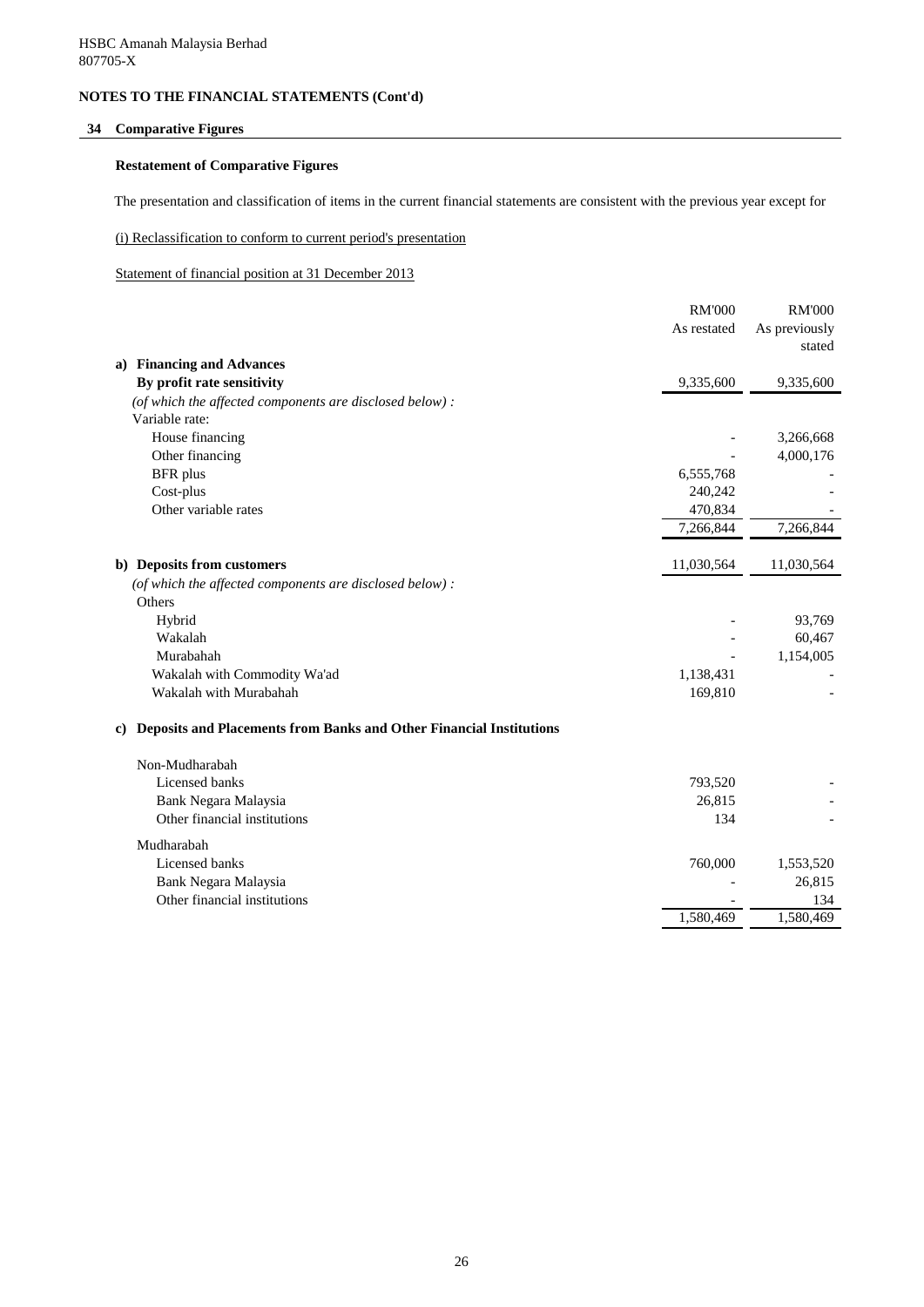## **34 Comparative Figures**

### **Restatement of Comparative Figures**

The presentation and classification of items in the current financial statements are consistent with the previous year except for

(i) Reclassification to conform to current period's presentation

Statement of financial position at 31 December 2013

|                                                                                  | <b>RM'000</b> | <b>RM'000</b> |
|----------------------------------------------------------------------------------|---------------|---------------|
|                                                                                  | As restated   | As previously |
|                                                                                  |               | stated        |
| <b>Financing and Advances</b><br>a)                                              |               |               |
| By profit rate sensitivity                                                       | 9,335,600     | 9,335,600     |
| (of which the affected components are disclosed below) :                         |               |               |
| Variable rate:                                                                   |               |               |
| House financing                                                                  |               | 3,266,668     |
| Other financing                                                                  |               | 4,000,176     |
| <b>BFR</b> plus                                                                  | 6,555,768     |               |
| Cost-plus                                                                        | 240,242       |               |
| Other variable rates                                                             | 470,834       |               |
|                                                                                  | 7,266,844     | 7,266,844     |
| b) Deposits from customers                                                       | 11,030,564    | 11,030,564    |
| (of which the affected components are disclosed below):                          |               |               |
| Others                                                                           |               |               |
| Hybrid                                                                           |               | 93,769        |
| Wakalah                                                                          |               | 60,467        |
| Murabahah                                                                        |               | 1,154,005     |
| Wakalah with Commodity Wa'ad                                                     | 1,138,431     |               |
| Wakalah with Murabahah                                                           | 169,810       |               |
| <b>Deposits and Placements from Banks and Other Financial Institutions</b><br>C) |               |               |
| Non-Mudharabah                                                                   |               |               |
| Licensed banks                                                                   | 793,520       |               |
| Bank Negara Malaysia                                                             | 26,815        |               |
| Other financial institutions                                                     | 134           |               |
| Mudharabah                                                                       |               |               |
| Licensed banks                                                                   | 760,000       | 1,553,520     |
| Bank Negara Malaysia                                                             |               | 26,815        |
| Other financial institutions                                                     |               | 134           |
|                                                                                  | 1,580,469     | 1,580,469     |